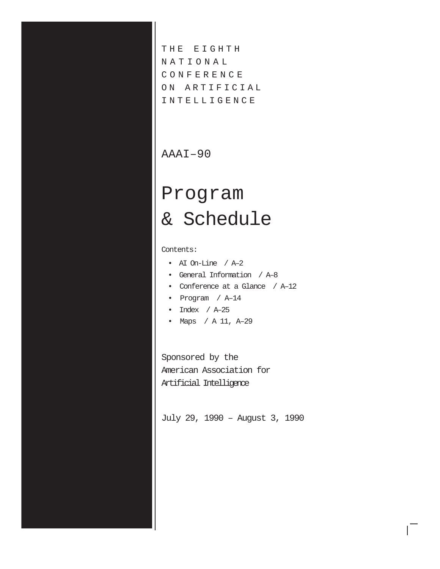THE EIGHTH N A T I O N A L C O N F E R E N C E ON ARTIFICIAL I N T E L L I G E N C E

# AAAI–90

# Program & Schedule

Contents:

- AI On-Line / A–2
- General Information / A–8
- Conference at a Glance / A–12
- Program / A–14
- Index / A–25
- Maps / A 11, A–29

Sponsored by the American Association for Artificial Intelligence

July 29, 1990 – August 3, 1990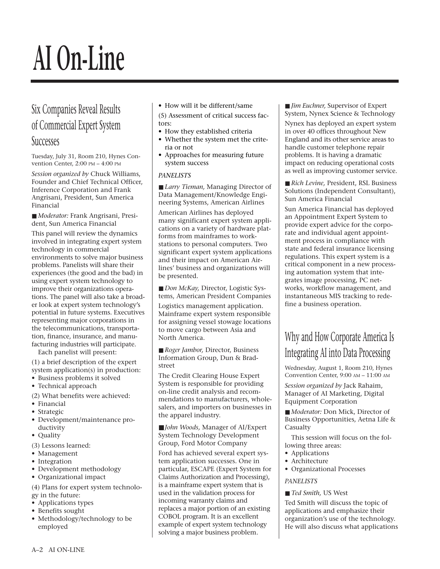# **AI On-Line**

# Six Companies Reveal Results of Commercial Expert System

# **Successes**

Tuesday, July 31, Room 210, Hynes Convention Center, 2:00 PM – 4:00 PM

*Session organized by* Chuck Williams, Founder and Chief Technical Officer, Inference Corporation and Frank Angrisani, President, Sun America Financial

■ *Moderator:* Frank Angrisani, President, Sun America Financial

This panel will review the dynamics involved in integrating expert system technology in commercial environments to solve major business problems. Panelists will share their experiences (the good and the bad) in using expert system technology to improve their organizations operations. The panel will also take a broader look at expert system technology's potential in future systems. Executives representing major corporations in the telecommunications, transportation, finance, insurance, and manufacturing industries will participate.

Each panelist will present:

(1) a brief description of the expert system application(s) in production:

- Business problems it solved
- Technical approach

(2) What benefits were achieved:

- Financial
- Strategic
- Development/maintenance productivity
- Quality
- (3) Lessons learned:
- Management
- Integration
- Development methodology
- Organizational impact

(4) Plans for expert system technology in the future:

- Applications types
- Benefits sought
- Methodology/technology to be employed

• How will it be different/same

(5) Assessment of critical success factors:

- How they established criteria
- Whether the system met the criteria or not
- Approaches for measuring future system success

#### *PANELISTS*

■ *Larry Tieman*, Managing Director of Data Management/Knowledge Engineering Systems, American Airlines

American Airlines has deployed many significant expert system applications on a variety of hardware platforms from mainframes to workstations to personal computers. Two significant expert system applications and their impact on American Airlines' business and organizations will be presented.

■ *Don McKay*, Director, Logistic Systems, American President Companies

Logistics management application. Mainframe expert system responsible for assigning vessel stowage locations to move cargo between Asia and North America.

■ *Roger Jambor, Director, Business* Information Group, Dun & Bradstreet

The Credit Clearing House Expert System is responsible for providing on-line credit analysis and recommendations to manufacturers, wholesalers, and importers on businesses in the apparel industry.

■ *John Woods*, Manager of AI/Expert System Technology Development Group, Ford Motor Company Ford has achieved several expert system application successes. One in particular, ESCAPE (Expert System for Claims Authorization and Processing), is a mainframe expert system that is used in the validation process for incoming warranty claims and replaces a major portion of an existing COBOL program. It is an excellent example of expert system technology solving a major business problem.

■ *Jim Euchner*, Supervisor of Expert System, Nynex Science & Technology Nynex has deployed an expert system in over 40 offices throughout New England and its other service areas to handle customer telephone repair problems. It is having a dramatic impact on reducing operational costs as well as improving customer service.

■ *Rich Levine*, President, RSL Business Solutions (Independent Consultant), Sun America Financial

Sun America Financial has deployed an Appointment Expert System to provide expert advice for the corporate and individual agent appointment process in compliance with state and federal insurance licensing regulations. This expert system is a critical component in a new processing automation system that integrates image processing, PC networks, workflow management, and instantaneous MIS tracking to redefine a business operation.

# Why and How Corporate America Is Integrating AI into Data Processing

Wednesday, August 1, Room 210, Hynes Convention Center, 9:00 AM – 11:00 AM

*Session organized by* Jack Rahaim, Manager of AI Marketing, Digital Equipment Corporation

■ *Moderator:* Don Mick, Director of Business Opportunities, Aetna Life & Casualty

This session will focus on the following three areas:

- Applications
- Architecture
- Organizational Processes

#### *PANELISTS*

■ *Ted Smith*, US West

Ted Smith will discuss the topic of applications and emphasize their organization's use of the technology. He will also discuss what applications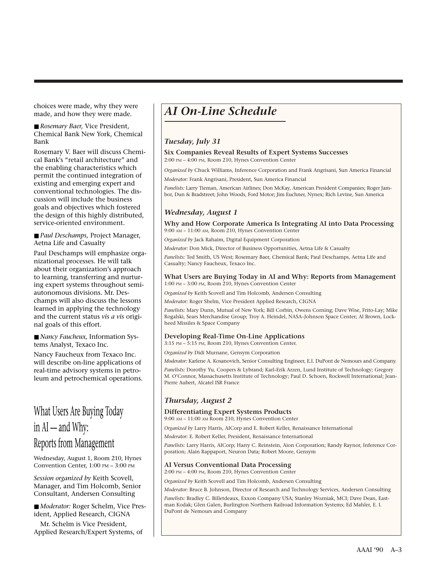choices were made, why they were made, and how they were made.

■ *Rosemary Baer*, Vice President, Chemical Bank New York, Chemical Bank

Rosemary V. Baer will discuss Chemical Bank's "retail architecture" and the enabling characteristics which permit the continued integration of existing and emerging expert and conventional technologies. The discussion will include the business goals and objectives which fostered the design of this highly distributed, service-oriented environment.

■ *Paul Deschamps*, Project Manager, Aetna Life and Casualty

Paul Deschamps will emphasize organizational processes. He will talk about their organization's approach to learning, transferring and nurturing expert systems throughout semiautonomous divisions. Mr. Deschamps will also discuss the lessons learned in applying the technology and the current status *vis a vis* original goals of this effort.

■ *Nancy Faucheux*, Information Systems Analyst, Texaco Inc.

Nancy Faucheux from Texaco Inc. will describe on-line applications of real-time advisory systems in petroleum and petrochemical operations.

# What Users Are Buying Today in  $AI$  – and Why: Reports from Management

Wednesday, August 1, Room 210, Hynes Convention Center, 1:00 PM – 3:00 PM

*Session organized by* Keith Scovell, Manager, and Tim Holcomb, Senior Consultant, Andersen Consulting

■ *Moderator:* Roger Schelm, Vice President, Applied Research, CIGNA

Mr. Schelm is Vice President, Applied Research/Expert Systems, of

# *AI On-Line Schedule*

#### *Tuesday, July 31*

**Six Companies Reveal Results of Expert Systems Successes**

2:00 PM – 4:00 PM, Room 210, Hynes Convention Center

*Organized by* Chuck Williams, Inference Corporation and Frank Angrisani, Sun America Financial

*Moderator:* Frank Angrisani, President, Sun America Financial

*Panelists:* Larry Tieman, American Airlines; Don McKay, American President Companies; Roger Jambor, Dun & Bradstreet; John Woods, Ford Motor; Jim Euchner, Nynex; Rich Levine, Sun America

#### *Wednesday, August 1*

**Why and How Corporate America Is Integrating AI into Data Processing** 9:00 AM – 11:00 AM, Room 210, Hynes Convention Center

*Organized by* Jack Rahaim, Digital Equipment Corporation

*Moderator:* Don Mick, Director of Business Opportunities, Aetna Life & Casualty

*Panelists:* Ted Smith, US West; Rosemary Baer, Chemical Bank; Paul Deschamps, Aetna Life and Casualty; Nancy Faucheux, Texaco Inc.

#### **What Users are Buying Today in AI and Why: Reports from Management** 1:00 PM – 3:00 PM, Room 210, Hynes Convention Center

*Organized by* Keith Scovell and Tim Holcomb, Andersen Consulting

*Moderator:* Roger Shelm, Vice President Applied Research, CIGNA

*Panelists:* Mary Dunn, Mutual of New York; Bill Corbin, Owens Corning; Dave Wise, Frito-Lay; Mike Rogalski, Sears Merchandise Group; Troy A. Heindel, NASA–Johnson Space Center; Al Brown, Lockheed Missiles & Space Company

#### **Developing Real-Time On-Line Applications**

3:15 PM – 5:15 PM, Room 210, Hynes Convention Center. *Organized by* Didi Murnane, Gensym Corporation

*Moderator:* Karlene A. Kosanovich, Senior Consulting Engineer, E.I. DuPont de Nemours and Company.

*Panelists:* Dorothy Yu, Coopers & Lybrand; Karl-Erik Arzen, Lund Institute of Technology; Gregory M. O'Connor, Massachusetts Institute of Technology; Paul D. Schoen, Rockwell International; Jean-Pierre Aubert, Alcatel ISR France

## *Thursday, August 2*

#### **Differentiating Expert Systems Products**

9:00 AM – 11:00 AM Room 210, Hynes Convention Center

*Organized by* Larry Harris, AICorp and E. Robert Keller, Renaissance International

*Moderator:* E. Robert Keller, President, Renaissance International

*Panelists:* Larry Harris, AICorp; Harry C. Reinstein, Aion Corporation; Randy Raynor, Inference Corporation; Alain Rappaport, Neuron Data; Robert Moore, Gensym

#### **AI Versus Conventional Data Processing**

2:00 PM – 4:00 PM, Room 210, Hynes Convention Center

*Organized by* Keith Scovell and Tim Holcomb, Andersen Consulting

*Moderator:* Bruce B. Johnson, Director of Research and Technology Services, Andersen Consulting

*Panelists:* Bradley C. Billetdeaux, Exxon Company USA; Stanley Wozniak, MCI; Dave Dean, Eastman Kodak; Glen Galen, Burlington Northern Railroad Information Systems; Ed Mahler, E. I. DuPont de Nemours and Company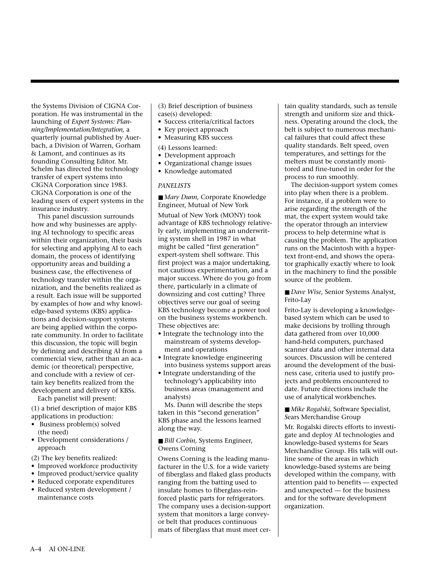the Systems Division of CIGNA Corporation. He was instrumental in the launching of *Expert Systems: Planning/Implementation/Integration,* a quarterly journal published by Auerbach, a Division of Warren, Gorham & Lamont, and continues as its founding Consulting Editor. Mr. Schelm has directed the technology transfer of expert systems into CIGNA Corporation since 1983. CIGNA Corporation is one of the leading users of expert systems in the insurance industry.

This panel discussion surrounds how and why businesses are applying AI technology to specific areas within their organization, their basis for selecting and applying AI to each domain, the process of identifying opportunity areas and building a business case, the effectiveness of technology transfer within the organization, and the benefits realized as a result. Each issue will be supported by examples of how and why knowledge-based systems (KBS) applications and decision-support systems are being applied within the corporate community. In order to facilitate this discussion, the topic will begin by defining and describing AI from a commercial view, rather than an academic (or theoretical) perspective, and conclude with a review of certain key benefits realized from the development and delivery of KBSs.

Each panelist will present:

(1) a brief description of major KBS applications in production:

- Business problem(s) solved (the need)
- Development considerations / approach
- (2) The key benefits realized:
- Improved workforce productivity
- Improved product/service quality
- Reduced corporate expenditures
- Reduced system development / maintenance costs

(3) Brief description of business case(s) developed:

- Success criteria/critical factors
- Key project approach
- Measuring KBS success

#### (4) Lessons learned:

- Development approach
- Organizational change issues
- Knowledge automated

#### *PANELISTS*

■ *Mary Dunn*, Corporate Knowledge Engineer, Mutual of New York Mutual of New York (MONY) took advantage of KBS technology relatively early, implementing an underwriting system shell in 1987 in what might be called "first generation" expert-system shell software. This first project was a major undertaking, not cautious experimentation, and a major success. Where do you go from there, particularly in a climate of downsizing and cost cutting? Three objectives serve our goal of seeing KBS technology become a power tool on the business systems workbench. These objectives are:

- Integrate the technology into the mainstream of systems development and operations
- Integrate knowledge engineering into business systems support areas
- Integrate understanding of the technology's applicability into business areas (management and analysts)

Ms. Dunn will describe the steps taken in this "second generation" KBS phase and the lessons learned along the way.

■ *Bill Corbin*, Systems Engineer, Owens Corning

Owens Corning is the leading manufacturer in the U.S. for a wide variety of fiberglass and flaked glass products ranging from the batting used to insulate homes to fiberglass-reinforced plastic parts for refrigerators. The company uses a decision-support system that monitors a large conveyor belt that produces continuous mats of fiberglass that must meet certain quality standards, such as tensile strength and uniform size and thickness. Operating around the clock, the belt is subject to numerous mechanical failures that could affect these quality standards. Belt speed, oven temperatures, and settings for the melters must be constantly monitored and fine-tuned in order for the process to run smoothly.

The decision-support system comes into play when there is a problem. For instance, if a problem were to arise regarding the strength of the mat, the expert system would take the operator through an interview process to help determine what is causing the problem. The application runs on the Macintosh with a hypertext front-end, and shows the operator graphically exactly where to look in the machinery to find the possible source of the problem.

■ *Dave Wise*, Senior Systems Analyst, Frito-Lay

Frito-Lay is developing a knowledgebased system which can be used to make decisions by trolling through data gathered from over 10,000 hand-held computers, purchased scanner data and other internal data sources. Discussion will be centered around the development of the business case, criteria used to justify projects and problems encountered to date. Future directions include the use of analytical workbenches.

■ *Mike Rogalski*, Software Specialist, *S*ears Merchandise Group

Mr. Rogalski directs efforts to investigate and deploy AI technologies and knowledge-based systems for Sears Merchandise Group. His talk will outline some of the areas in which knowledge-based systems are being developed within the company, with attention paid to benefits –– expected and unexpected –– for the business and for the software development organization.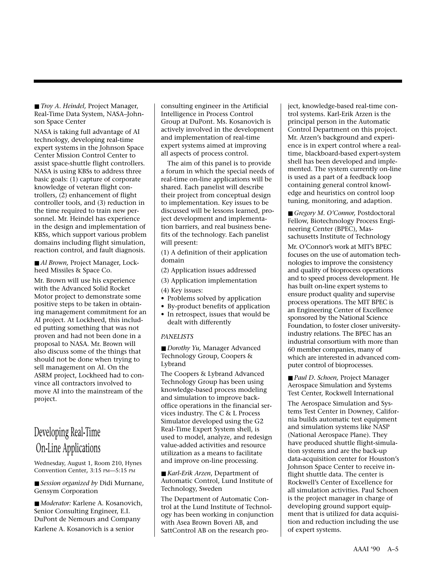■ *Troy A. Heindel*, Project Manager, Real-Time Data System, NASA–Johnson Space Center

NASA is taking full advantage of AI technology, developing real-time expert systems in the Johnson Space Center Mission Control Center to assist space-shuttle flight controllers. NASA is using KBSs to address three basic goals: (1) capture of corporate knowledge of veteran flight controllers, (2) enhancement of flight controller tools, and (3) reduction in the time required to train new personnel. Mr. Heindel has experience in the design and implementation of KBSs, which support various problem domains including flight simulation, reaction control, and fault diagnosis.

■ *Al Brown*, Project Manager, Lockheed Missiles & Space Co.

Mr. Brown will use his experience with the Advanced Solid Rocket Motor project to demonstrate some positive steps to be taken in obtaining management commitment for an AI project. At Lockheed, this included putting something that was not proven and had not been done in a proposal to NASA. Mr. Brown will also discuss some of the things that should not be done when trying to sell management on AI. On the ASRM project, Lockheed had to convince all contractors involved to move AI into the mainstream of the project.

# Developing Real-Time On-Line Applications

Wednesday, August 1, Room 210, Hynes Convention Center, 3:15 PM––5:15 PM

■ *Session organized by Didi Murnane*, Gensym Corporation

■ *Moderator:* Karlene A. Kosanovich, Senior Consulting Engineer, E.I. DuPont de Nemours and Company Karlene A. Kosanovich is a senior

consulting engineer in the Artificial Intelligence in Process Control Group at DuPont. Ms. Kosanovich is actively involved in the development and implementation of real-time expert systems aimed at improving all aspects of process control.

The aim of this panel is to provide a forum in which the special needs of real-time on-line applications will be shared. Each panelist will describe their project from conceptual design to implementation. Key issues to be discussed will be lessons learned, project development and implementation barriers, and real business benefits of the technology. Each panelist will present:

(1) A definition of their application domain

- (2) Application issues addressed
- (3) Application implementation
- (4) Key issues:
- Problems solved by application
- By-product benefits of application
- In retrospect, issues that would be dealt with differently

#### *PANELISTS*

■ *Dorothy Yu*, Manager Advanced Technology Group, Coopers & Lybrand

The Coopers & Lybrand Advanced Technology Group has been using knowledge-based process modeling and simulation to improve backoffice operations in the financial services industry. The C & L Process Simulator developed using the G2 Real-Time Expert System shell, is used to model, analyze, and redesign value-added activities and resource utilization as a means to facilitate and improve on-line processing.

■ *Karl-Erik Arzen*, Department of Automatic Control, Lund Institute of Technology, Sweden

The Department of Automatic Control at the Lund Institute of Technology has been working in conjunction with Asea Brown Boveri AB, and SattControl AB on the research pro-

ject, knowledge-based real-time control systems. Karl-Erik Arzen is the principal person in the Automatic Control Department on this project. Mr. Arzen's background and experience is in expert control where a realtime, blackboard-based expert-system shell has been developed and implemented. The system currently on-line is used as a part of a feedback loop containing general control knowledge and heuristics on control loop tuning, monitoring, and adaption.

■ *Gregory M. O'Connor*, Postdoctoral Fellow, Biotechnology Process Engineering Center (BPEC), Massachusetts Institute of Technology

Mr. O'Connor's work at MIT's BPEC focuses on the use of automation technologies to improve the consistency and quality of bioprocess operations and to speed process development. He has built on-line expert systems to ensure product quality and supervise process operations. The MIT BPEC is an Engineering Center of Excellence sponsored by the National Science Foundation, to foster closer universityindustry relations. The BPEC has an industrial consortium with more than 60 member companies, many of which are interested in advanced computer control of bioprocesses.

■ *Paul D. Schoen.* Project Manager Aerospace Simulation and Systems Test Center, Rockwell International

The Aerospace Simulation and Systems Test Center in Downey, California builds automatic test equipment and simulation systems like NASP (National Aerospace Plane). They have produced shuttle flight-simulation systems and are the back-up data-acquisition center for Houston's Johnson Space Center to receive inflight shuttle data. The center is Rockwell's Center of Excellence for all simulation activities. Paul Schoen is the project manager in charge of developing ground support equipment that is utilized for data acquisition and reduction including the use of expert systems.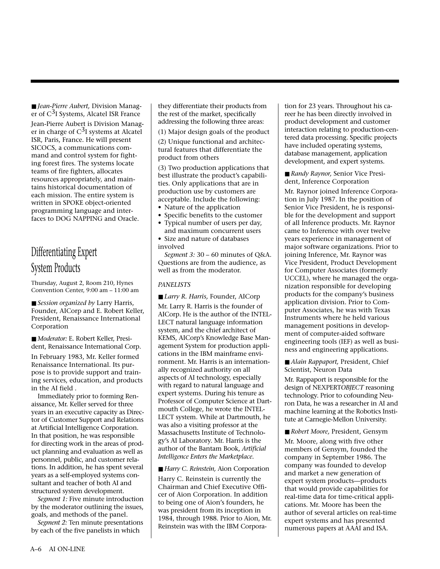■ *Jean-Pierre Aubert*, Division Manager of C<sup>3</sup>I Systems, Alcatel ISR France

Jean-Pierre Aubert is Division Manager in charge of  $C<sup>3</sup>I$  systems at Alcatel ISR, Paris, France. He will present SICOCS, a communications command and control system for fighting forest fires. The systems locate teams of fire fighters, allocates resources appropriately, and maintains historical documentation of each mission. The entire system is written in SPOKE object-oriented programming language and interfaces to DOG NAPPING and Oracle.

# Differentiating Expert System Products

Thursday, August 2, Room 210, Hynes Convention Center, 9:00 am – 11:00 am

■ *Session organized by Larry Harris*, Founder, AICorp and E. Robert Keller, President, Renaissance International Corporation

■ *Moderator:* E. Robert Keller, President, Renaissance International Corp.

In February 1983, Mr. Keller formed Renaissance International. Its purpose is to provide support and training services, education, and products in the AI field .

Immediately prior to forming Renaissance, Mr. Keller served for three years in an executive capacity as Director of Customer Support and Relations at Artificial Intelligence Corporation. In that position, he was responsible for directing work in the areas of product planning and evaluation as well as personnel, public, and customer relations. In addition, he has spent several years as a self-employed systems consultant and teacher of both AI and structured system development.

*Segment 1:* Five minute introduction by the moderator outlining the issues, goals, and methods of the panel.

*Segment 2:* Ten minute presentations by each of the five panelists in which

they differentiate their products from the rest of the market, specifically addressing the following three areas:

(1) Major design goals of the product

(2) Unique functional and architectural features that differentiate the product from others

(3) Two production applications that best illustrate the product's capabilities. Only applications that are in production use by customers are acceptable. Include the following:

- Nature of the application
- Specific benefits to the customer
- Typical number of users per day, and maximum concurrent users • Size and nature of databases
- involved

*Segment 3:* 30 – 60 minutes of Q&A. Questions are from the audience, as well as from the moderator.

#### *PANELISTS*

■ *Larry R. Harris*, Founder, AICorp

Mr. Larry R. Harris is the founder of AICorp. He is the author of the INTEL-LECT natural language information system, and the chief architect of KEMS, AICorp's Knowledge Base Management System for production applications in the IBM mainframe environment. Mr. Harris is an internationally recognized authority on all aspects of AI technology, especially with regard to natural language and expert systems. During his tenure as Professor of Computer Science at Dartmouth College, he wrote the INTEL-LECT system. While at Dartmouth, he was also a visiting professor at the Massachusetts Institute of Technology's AI Laboratory. Mr. Harris is the author of the Bantam Book, *Artificial Intelligence Enters the Marketplace.*

■ *Harry C. Reinstein*, Aion Corporation

Harry C. Reinstein is currently the Chairman and Chief Executive Officer of Aion Corporation. In addition to being one of Aion's founders, he was president from its inception in 1984, through 1988. Prior to Aion, Mr. Reinstein was with the IBM Corporation for 23 years. Throughout his career he has been directly involved in product development and customer interaction relating to production-centered data processing. Specific projects have included operating systems, database management, application development, and expert systems.

■ *Randy Raynor, Senior Vice Presi*dent, Inference Corporation

Mr. Raynor joined Inference Corporation in July 1987. In the position of Senior Vice President, he is responsible for the development and support of all Inference products. Mr. Raynor came to Inference with over twelve years experience in management of major software organizations. Prior to joining Inference, Mr. Raynor was Vice President, Product Development for Computer Associates (formerly UCCEL), where he managed the organization responsible for developing products for the company's business application division. Prior to Computer Associates, he was with Texas Instruments where he held various management positions in development of computer-aided software engineering tools (IEF) as well as business and engineering applications.

■ *Alain Rappaport*, President, Chief Scientist, Neuron Data

Mr. Rappaport is responsible for the design of NEXPERT*OBJECT* reasoning technology. Prior to cofounding Neuron Data, he was a researcher in AI and machine learning at the Robotics Institute at Carnegie-Mellon University.

■ *Robert Moore*, President, Gensym Mr. Moore, along with five other members of Gensym, founded the company in September 1986. The company was founded to develop and market a new generation of expert system products—products that would provide capabilities for real-time data for time-critical applications. Mr. Moore has been the author of several articles on real-time expert systems and has presented numerous papers at AAAI and ISA.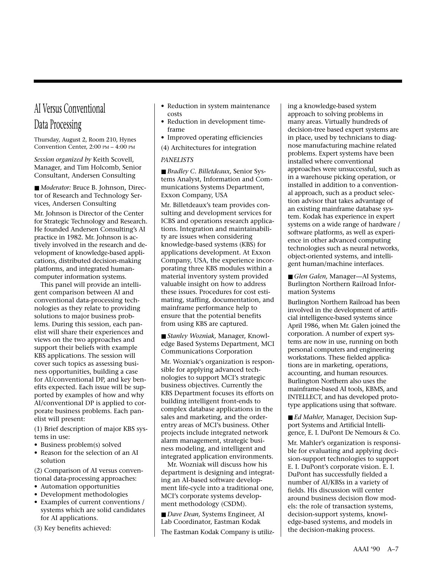# AI Versus Conventional Data Processing

Thursday, August 2, Room 210, Hynes Convention Center, 2:00 PM – 4:00 PM

*Session organized by* Keith Scovell, Manager, and Tim Holcomb, Senior Consultant, Andersen Consulting

■ *Moderator:* Bruce B. Johnson, Director of Research and Technology Services, Andersen Consulting

Mr. Johnson is Director of the Center for Strategic Technology and Research. He founded Andersen Consulting's AI practice in 1982. Mr. Johnson is actively involved in the research and development of knowledge-based applications, distributed decision-making platforms, and integrated humancomputer information systems.

This panel will provide an intelligent comparison between AI and conventional data-processing technologies as they relate to providing solutions to major business problems. During this session, each panelist will share their experiences and views on the two approaches and support their beliefs with example KBS applications. The session will cover such topics as assessing business opportunities, building a case for AI/conventional DP, and key benefits expected. Each issue will be supported by examples of how and why AI/conventional DP is applied to corporate business problems. Each panelist will present:

(1) Brief description of major KBS systems in use:

- Business problem(s) solved
- Reason for the selection of an AI solution

(2) Comparison of AI versus conventional data-processing approaches:

- Automation opportunities
- Development methodologies
- Examples of current conventions / systems which are solid candidates for AI applications.
- (3) Key benefits achieved:
- Reduction in system maintenance costs
- Reduction in development timeframe
- Improved operating efficiencies
- (4) Architectures for integration

#### *PANELISTS*

■ *Bradley C. Billetdeaux*, Senior Systems Analyst, Information and Communications Systems Department, Exxon Company, USA

Mr. Billetdeaux's team provides consulting and development services for ICBS and operations research applications. Integration and maintainability are issues when considering knowledge-based systems (KBS) for applications development. At Exxon Company, USA, the experience incorporating three KBS modules within a material inventory system provided valuable insight on how to address these issues. Procedures for cost estimating, staffing, documentation, and mainframe performance help to ensure that the potential benefits from using KBS are captured.

■ *Stanley Wozniak*, Manager, Knowledge Based Systems Department, MCI Communications Corporation

Mr. Wozniak's organization is responsible for applying advanced technologies to support MCI's strategic business objectives. Currently the KBS Department focuses its efforts on building intelligent front-ends to complex database applications in the sales and marketing, and the orderentry areas of MCI's business. Other projects include integrated network alarm management, strategic business modeling, and intelligent and integrated application environments.

Mr. Wozniak will discuss how his department is designing and integrating an AI-based software development life-cycle into a traditional one, MCI's corporate systems development methodology (CSDM).

■ *Dave Dean*, Systems Engineer, AI Lab Coordinator, Eastman Kodak The Eastman Kodak Company is utilizing a knowledge-based system approach to solving problems in many areas. Virtually hundreds of decision-tree based expert systems are in place, used by technicians to diagnose manufacturing machine related problems. Expert systems have been installed where conventional approaches were unsuccessful, such as in a warehouse picking operation, or installed in addition to a conventional approach, such as a product selection advisor that takes advantage of an existing mainframe database system. Kodak has experience in expert systems on a wide range of hardware / software platforms, as well as experience in other advanced computing technologies such as neural networks, object-oriented systems, and intelligent human/machine interfaces.

■ *Glen Galen*, Manager—AI Systems, Burlington Northern Railroad Information Systems

Burlington Northern Railroad has been involved in the development of artificial intelligence-based systems since April 1986, when Mr. Galen joined the corporation. A number of expert systems are now in use, running on both personal computers and engineering workstations. These fielded applications are in marketing, operations, accounting, and human resources. Burlington Northern also uses the mainframe-based AI tools, KBMS, and INTELLECT, and has developed prototype applications using that software.

■ *Ed Mahler*, Manager, Decision Support Systems and Artificial Intelligence, E. I. DuPont De Nemours & Co.

Mr. Mahler's organization is responsible for evaluating and applying decision-support technologies to support E. I. DuPont's corporate vision. E. I. DuPont has successfully fielded a number of AI/KBSs in a variety of fields. His discussion will center around business decision flow models: the role of transaction systems, decision-support systems, knowledge-based systems, and models in the decision-making process.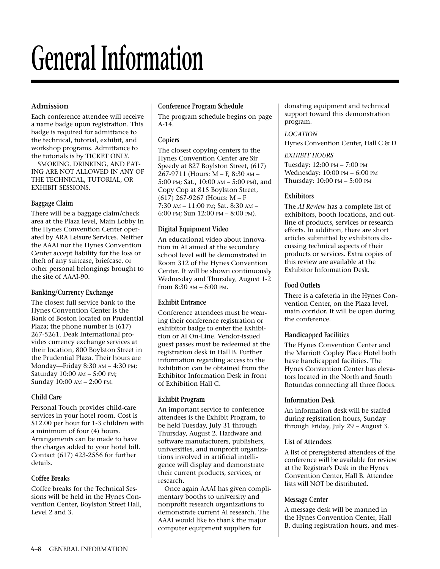# **General Information**

### **Admission**

Each conference attendee will receive a name badge upon registration. This badge is required for admittance to the technical, tutorial, exhibit, and workshop programs. Admittance to the tutorials is by TICKET ONLY.

SMOKING, DRINKING, AND EAT-ING ARE NOT ALLOWED IN ANY OF THE TECHNICAL, TUTORIAL, OR EXHIBIT SESSIONS.

#### **Baggage Claim**

There will be a baggage claim/check area at the Plaza level, Main Lobby in the Hynes Convention Center operated by ARA Leisure Services. Neither the AAAI nor the Hynes Convention Center accept liability for the loss or theft of any suitcase, briefcase, or other personal belongings brought to the site of AAAI-90.

#### **Banking/Currency Exchange**

The closest full service bank to the Hynes Convention Center is the Bank of Boston located on Prudential Plaza; the phone number is (617) 267-5261. Deak International provides currency exchange services at their location, 800 Boylston Street in the Prudential Plaza. Their hours are Monday—Friday 8:30 AM – 4:30 PM; Saturday 10:00 AM – 5:00 PM; Sunday 10:00 AM – 2:00 PM.

#### **Child Care**

Personal Touch provides child-care services in your hotel room. Cost is \$12.00 per hour for 1-3 children with a minimum of four (4) hours. Arrangements can be made to have the charges added to your hotel bill. Contact (617) 423-2556 for further details.

#### **Coffee Breaks**

Coffee breaks for the Technical Sessions will be held in the Hynes Convention Center, Boylston Street Hall, Level 2 and 3.

#### **Conference Program Schedule**

The program schedule begins on page A-14.

#### **Copiers**

The closest copying centers to the Hynes Convention Center are Sir Speedy at 827 Boylston Street, (617) 267-9711 (Hours: M – F, 8:30 AM – 5:00 PM; Sat., 10:00 AM – 5:00 PM), and Copy Cop at 815 Boylston Street, (617) 267-9267 (Hours: M – F 7:30 AM – 11:00 PM; Sat. 8:30 AM – 6:00 PM; Sun 12:00 PM – 8:00 PM).

#### **Digital Equipment Video**

An educational video about innovation in AI aimed at the secondary school level will be demonstrated in Room 312 of the Hynes Convention Center. It will be shown continuously Wednesday and Thursday, August 1-2 from  $8:30$  AM –  $6:00$  PM.

#### **Exhibit Entrance**

Conference attendees must be wearing their conference registration or exhibitor badge to enter the Exhibition or AI On-Line. Vendor-issued guest passes must be redeemed at the registration desk in Hall B. Further information regarding access to the Exhibition can be obtained from the Exhibitor Information Desk in front of Exhibition Hall C.

#### **Exhibit Program**

An important service to conference attendees is the Exhibit Program, to be held Tuesday, July 31 through Thursday, August 2. Hardware and software manufacturers, publishers, universities, and nonprofit organizations involved in artificial intelligence will display and demonstrate their current products, services, or research.

Once again AAAI has given complimentary booths to university and nonprofit research organizations to demonstrate current AI research. The AAAI would like to thank the major computer equipment suppliers for

donating equipment and technical support toward this demonstration program.

#### *LOCATION*

Hynes Convention Center, Hall C & D

#### *EXHIBIT HOURS*

Tuesday: 12:00 PM – 7:00 PM Wednesday: 10:00 PM – 6:00 PM Thursday: 10:00 PM – 5:00 PM

#### **Exhibitors**

The *AI Review* has a complete list of exhibitors, booth locations, and outline of products, services or research efforts. In addition, there are short articles submitted by exhibitors discussing technical aspects of their products or services. Extra copies of this review are available at the Exhibitor Information Desk.

#### **Food Outlets**

There is a cafeteria in the Hynes Convention Center, on the Plaza level, main corridor. It will be open during the conference.

#### **Handicapped Facilities**

The Hynes Convention Center and the Marriott Copley Place Hotel both have handicapped facilities. The Hynes Convention Center has elevators located in the North and South Rotundas connecting all three floors.

#### **Information Desk**

An information desk will be staffed during registration hours, Sunday through Friday, July 29 – August 3.

#### **List of Attendees**

A list of preregistered attendees of the conference will be available for review at the Registrar's Desk in the Hynes Convention Center, Hall B. Attendee lists will NOT be distributed.

#### **Message Center**

A message desk will be manned in the Hynes Convention Center, Hall B, during registration hours, and mes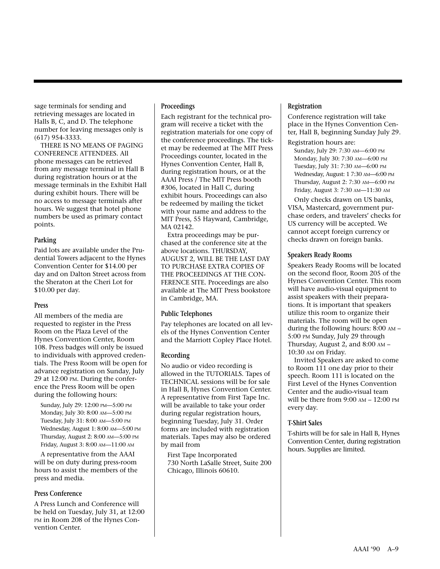sage terminals for sending and retrieving messages are located in Halls B, C, and D. The telephone number for leaving messages only is (617) 954-3333.

THERE IS NO MEANS OF PAGING CONFERENCE ATTENDEES. All phone messages can be retrieved from any message terminal in Hall B during registration hours or at the message terminals in the Exhibit Hall during exhibit hours. There will be no access to message terminals after hours. We suggest that hotel phone numbers be used as primary contact points.

#### **Parking**

Paid lots are available under the Prudential Towers adjacent to the Hynes Convention Center for \$14.00 per day and on Dalton Street across from the Sheraton at the Cheri Lot for \$10.00 per day.

#### **Press**

All members of the media are requested to register in the Press Room on the Plaza Level of the Hynes Convention Center, Room 108. Press badges will only be issued to individuals with approved credentials. The Press Room will be open for advance registration on Sunday, July 29 at 12:00 PM. During the conference the Press Room will be open during the following hours:

Sunday, July 29: 12:00 PM—5:00 PM Monday, July 30: 8:00 AM—5:00 PM Tuesday, July 31: 8:00 AM—5:00 PM Wednesday, August 1: 8:00 AM—5:00 PM Thursday, August 2: 8:00 AM—5:00 PM Friday, August 3: 8:00 AM—11:00 AM

A representative from the AAAI will be on duty during press-room hours to assist the members of the press and media.

#### **Press Conference**

A Press Lunch and Conference will be held on Tuesday, July 31, at 12:00 PM in Room 208 of the Hynes Convention Center.

#### **Proceedings**

Each registrant for the technical program will receive a ticket with the registration materials for one copy of the conference proceedings. The ticket may be redeemed at The MIT Press Proceedings counter, located in the Hynes Convention Center, Hall B, during registration hours, or at the AAAI Press / The MIT Press booth #306, located in Hall C, during exhibit hours. Proceedings can also be redeemed by mailing the ticket with your name and address to the MIT Press, 55 Hayward, Cambridge, MA 02142.

Extra proceedings may be purchased at the conference site at the above locations. THURSDAY, AUGUST 2, WILL BE THE LAST DAY TO PURCHASE EXTRA COPIES OF THE PROCEEDINGS AT THE CON-FERENCE SITE. Proceedings are also available at The MIT Press bookstore in Cambridge, MA.

#### **Public Telephones**

Pay telephones are located on all levels of the Hynes Convention Center and the Marriott Copley Place Hotel.

#### **Recording**

No audio or video recording is allowed in the TUTORIALS. Tapes of TECHNICAL sessions will be for sale in Hall B, Hynes Convention Center. A representative from First Tape Inc. will be available to take your order during regular registration hours, beginning Tuesday, July 31. Order forms are included with registration materials. Tapes may also be ordered by mail from

First Tape Incorporated 730 North LaSalle Street, Suite 200 Chicago, Illinois 60610.

#### **Registration**

Conference registration will take place in the Hynes Convention Center, Hall B, beginning Sunday July 29. Registration hours are:

Sunday, July 29: 7:30 AM—6:00 PM Monday, July 30: 7:30 AM—6:00 PM Tuesday, July 31: 7:30 AM—6:00 PM Wednesday, August: 1 7:30 AM—6:00 PM Thursday, August 2: 7:30 AM—6:00 PM Friday, August 3: 7:30 AM—11:30 AM

Only checks drawn on US banks, VISA, Mastercard, government purchase orders, and travelers' checks for US currency will be accepted. We cannot accept foreign currency or checks drawn on foreign banks.

#### **Speakers Ready Rooms**

Speakers Ready Rooms will be located on the second floor, Room 205 of the Hynes Convention Center. This room will have audio-visual equipment to assist speakers with their preparations. It is important that speakers utilize this room to organize their materials. The room will be open during the following hours: 8:00 AM – 5:00 PM Sunday, July 29 through Thursday, August 2, and 8:00 AM – 10:30 AM on Friday.

Invited Speakers are asked to come to Room 111 one day prior to their speech. Room 111 is located on the First Level of the Hynes Convention Center and the audio-visual team will be there from 9:00 AM – 12:00 PM every day.

#### **T-Shirt Sales**

T-shirts will be for sale in Hall B, Hynes Convention Center, during registration hours. Supplies are limited.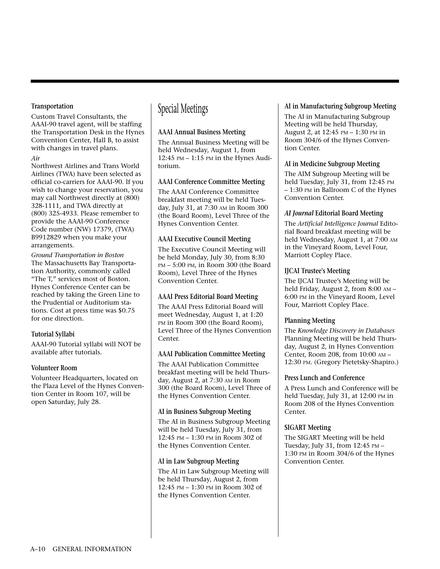#### **Transportation**

Custom Travel Consultants, the AAAI-90 travel agent, will be staffing the Transportation Desk in the Hynes Convention Center, Hall B, to assist with changes in travel plans.

#### *Air*

Northwest Airlines and Trans World Airlines (TWA) have been selected as official co-carriers for AAAI-90. If you wish to change your reservation, you may call Northwest directly at (800) 328-1111, and TWA directly at (800) 325-4933. Please remember to provide the AAAI-90 Conference Code number (NW) 17379, (TWA) B9912829 when you make your arrangements.

*Ground Transportation in Boston* The Massachusetts Bay Transportation Authority, commonly called "The T," services most of Boston. Hynes Conference Center can be reached by taking the Green Line to the Prudential or Auditorium stations. Cost at press time was \$0.75 for one direction.

#### **Tutorial Syllabi**

AAAI-90 Tutorial syllabi will NOT be available after tutorials.

#### **Volunteer Room**

Volunteer Headquarters, located on the Plaza Level of the Hynes Convention Center in Room 107, will be open Saturday, July 28.

# Special Meetings

#### **AAAI Annual Business Meeting**

The Annual Business Meeting will be held Wednesday, August 1, from 12:45 PM – 1:15 PM in the Hynes Auditorium.

#### **AAAI Conference Committee Meeting**

The AAAI Conference Committee breakfast meeting will be held Tuesday, July 31, at 7:30 AM in Room 300 (the Board Room), Level Three of the Hynes Convention Center.

#### **AAAI Executive Council Meeting**

The Executive Council Meeting will be held Monday, July 30, from 8:30 PM – 5:00 PM, in Room 300 (the Board Room), Level Three of the Hynes Convention Center.

#### **AAAI Press Editorial Board Meeting**

The AAAI Press Editorial Board will meet Wednesday, August 1, at 1:20 PM in Room 300 (the Board Room), Level Three of the Hynes Convention Center.

#### **AAAI Publication Committee Meeting**

The AAAI Publication Committee breakfast meeting will be held Thursday, August 2, at 7:30 AM in Room 300 (the Board Room), Level Three of the Hynes Convention Center.

#### **AI in Business Subgroup Meeting**

The AI in Business Subgroup Meeting will be held Tuesday, July 31, from 12:45 PM – 1:30 PM in Room 302 of the Hynes Convention Center.

#### **AI in Law Subgroup Meeting**

The AI in Law Subgroup Meeting will be held Thursday, August 2, from 12:45 PM – 1:30 PM in Room 302 of the Hynes Convention Center.

#### **AI in Manufacturing Subgroup Meeting**

The AI in Manufacturing Subgroup Meeting will be held Thursday, August 2, at 12:45 PM – 1:30 PM in Room 304/6 of the Hynes Convention Center.

#### **AI in Medicine Subgroup Meeting**

The AIM Subgroup Meeting will be held Tuesday, July 31, from 12:45 PM – 1:30 PM in Ballroom C of the Hynes Convention Center.

#### *AI Journal* **Editorial Board Meeting**

The *Artificial Intelligence Journal* Editorial Board breakfast meeting will be held Wednesday, August 1, at 7:00 AM in the Vineyard Room, Level Four, Marriott Copley Place.

#### **IJCAI Trustee's Meeting**

The IJCAI Trustee's Meeting will be held Friday, August 2, from 8:00 AM – 6:00 PM in the Vineyard Room, Level Four, Marriott Copley Place.

#### **Planning Meeting**

The *Knowledge Discovery in Databases* Planning Meeting will be held Thursday, August 2, in Hynes Convention Center, Room 208, from 10:00 AM – 12:30 PM. (Gregory Pietetsky-Shapiro.)

#### **Press Lunch and Conference**

A Press Lunch and Conference will be held Tuesday, July 31, at 12:00 PM in Room 208 of the Hynes Convention Center.

#### **SIGART Meeting**

The SIGART Meeting will be held Tuesday, July 31, from 12:45 PM – 1:30 PM in Room 304/6 of the Hynes Convention Center.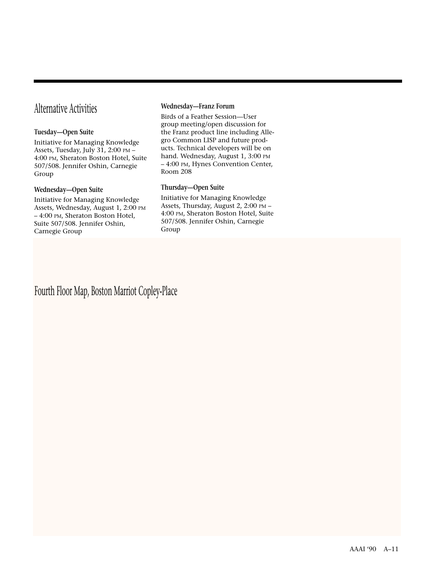# Alternative Activities

#### **Tuesday—Open Suite**

Initiative for Managing Knowledge Assets, Tuesday, July 31, 2:00 PM – 4:00 PM, Sheraton Boston Hotel, Suite 507/508. Jennifer Oshin, Carnegie Group

#### **Wednesday—Open Suite**

Initiative for Managing Knowledge Assets, Wednesday, August 1, 2:00 PM – 4:00 PM, Sheraton Boston Hotel, Suite 507/508. Jennifer Oshin, Carnegie Group

#### **Wednesday—Franz Forum**

Birds of a Feather Session—User group meeting/open discussion for the Franz product line including Allegro Common LISP and future products. Technical developers will be on hand. Wednesday, August 1, 3:00 PM – 4:00 PM, Hynes Convention Center, Room 208

#### **Thursday—Open Suite**

Initiative for Managing Knowledge Assets, Thursday, August 2, 2:00 PM – 4:00 PM, Sheraton Boston Hotel, Suite 507/508. Jennifer Oshin, Carnegie Group

Fourth Floor Map, Boston Marriot Copley-Place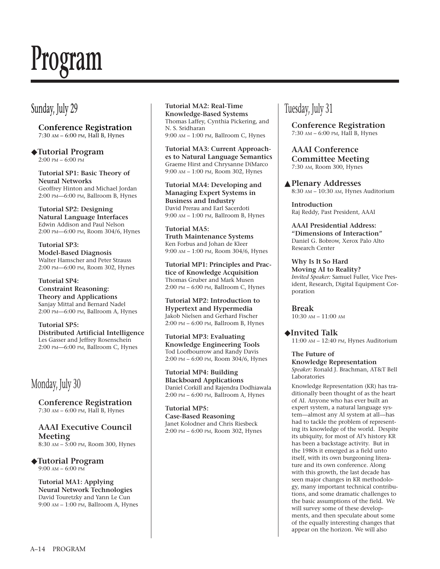# **Program**

# Sunday, July 29

**Conference Registration** 7:30 AM – 6:00 PM, Hall B, Hynes

◆**Tutorial Program** 2:00 PM – 6:00 PM

**Tutorial SP1: Basic Theory of Neural Networks** Geoffrey Hinton and Michael Jordan 2:00 PM—6:00 PM, Ballroom B, Hynes

**Tutorial SP2: Designing Natural Language Interfaces** Edwin Addison and Paul Nelson 2:00 PM—6:00 PM, Room 304/6, Hynes

**Tutorial SP3: Model-Based Diagnosis** Walter Hamscher and Peter Strauss 2:00 PM—6:00 PM, Room 302, Hynes

**Tutorial SP4: Constraint Reasoning: Theory and Applications** Sanjay Mittal and Bernard Nadel 2:00 PM—6:00 PM, Ballroom A, Hynes

**Tutorial SP5: Distributed Artificial Intelligence** Les Gasser and Jeffrey Rosenschein 2:00 PM—6:00 PM, Ballroom C, Hynes

# Monday, July 30

**Conference Registration** 7:30 AM – 6:00 PM, Hall B, Hynes

**AAAI Executive Council Meeting** 8:30 AM – 5:00 PM, Room 300, Hynes

◆**Tutorial Program** 9:00 AM – 6:00 PM

**Tutorial MA1: Applying Neural Network Technologies** David Touretzky and Yann Le Cun 9:00 AM – 1:00 PM, Ballroom A, Hynes

#### **Tutorial MA2: Real-Time Knowledge-Based Systems** Thomas Laffey, Cynthia Pickering, and N. S. Sridharan 9:00 AM – 1:00 PM, Ballroom C, Hynes

**Tutorial MA3: Current Approaches to Natural Language Semantics** Graeme Hirst and Chrysanne DiMarco 9:00 AM – 1:00 PM, Room 302, Hynes

**Tutorial MA4: Developing and Managing Expert Systems in Business and Industry** David Prerau and Earl Sacerdoti 9:00 AM – 1:00 PM, Ballroom B, Hynes

**Tutorial MA5: Truth Maintenance Systems** Ken Forbus and Johan de Kleer 9:00 AM – 1:00 PM, Room 304/6, Hynes

**Tutorial MP1: Principles and Practice of Knowledge Acquisition** Thomas Gruber and Mark Musen 2:00 PM – 6:00 PM, Ballroom C, Hynes

**Tutorial MP2: Introduction to Hypertext and Hypermedia** Jakob Nielsen and Gerhard Fischer 2:00 PM – 6:00 PM, Ballroom B, Hynes

**Tutorial MP3: Evaluating Knowledge Engineering Tools** Tod Loofbourrow and Randy Davis 2:00 PM – 6:00 PM, Room 304/6, Hynes

**Tutorial MP4: Building Blackboard Applications** Daniel Corkill and Rajendra Dodhiawala 2:00 PM – 6:00 PM, Ballroom A, Hynes

**Tutorial MP5: Case-Based Reasoning** Janet Kolodner and Chris Riesbeck 2:00 PM – 6:00 PM, Room 302, Hynes

# Tuesday, July 31

**Conference Registration** 7:30 AM – 6:00 PM, Hall B, Hynes

**AAAI Conference Committee Meeting** 7:30 AM, Room 300, Hynes

▲**Plenary Addresses** 8:30 AM – 10:30 AM, Hynes Auditorium

**Introduction** Raj Reddy, Past President, AAAI

**AAAI Presidential Address: "Dimensions of Interaction"** Daniel G. Bobrow, Xerox Palo Alto Research Center

**Why Is It So Hard Moving AI to Reality?** *Invited Speaker:* Samuel Fuller, Vice President, Research, Digital Equipment Corporation

**Break** 10:30 AM – 11:00 AM

◆**Invited Talk** 11:00 AM – 12:40 PM, Hynes Auditorium

## **The Future of**

**Knowledge Representation** *Speaker:* Ronald J. Brachman, AT&T Bell Laboratories

Knowledge Representation (KR) has traditionally been thought of as the heart of AI. Anyone who has ever built an expert system, a natural language system—almost any AI system at all—has had to tackle the problem of representing its knowledge of the world. Despite its ubiquity, for most of AI's history KR has been a backstage activity. But in the 1980s it emerged as a field unto itself, with its own burgeoning literature and its own conference. Along with this growth, the last decade has seen major changes in KR methodology, many important technical contributions, and some dramatic challenges to the basic assumptions of the field. We will survey some of these developments, and then speculate about some of the equally interesting changes that appear on the horizon. We will also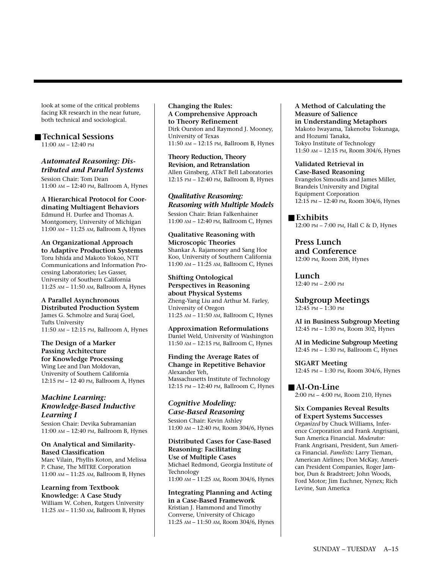look at some of the critical problems facing KR research in the near future, both technical and sociological.

# ■ **Technical Sessions**

11:00 AM – 12:40 PM

#### *Automated Reasoning: Distributed and Parallel Systems*

Session Chair: Tom Dean 11:00 AM – 12:40 PM, Ballroom A, Hynes

**A Hierarchical Protocol for Coordinating Multiagent Behaviors** Edmund H. Durfee and Thomas A. Montgomery, University of Michigan 11:00 AM – 11:25 AM, Ballroom A, Hynes

#### **An Organizational Approach to Adaptive Production Systems**

Toru Ishida and Makoto Yokoo, NTT Communications and Information Processing Laboratories; Les Gasser, University of Southern California 11:25 AM – 11:50 AM, Ballroom A, Hynes

## **A Parallel Asynchronous**

**Distributed Production System** James G. Schmolze and Suraj Goel, Tufts University 11:50 AM – 12:15 PM, Ballroom A, Hynes

#### **The Design of a Marker Passing Architecture**

**for Knowledge Processing** Wing Lee and Dan Moldovan, University of Southern California 12:15 PM – 12 40 PM, Ballroom A, Hynes

#### *Machine Learning: Knowledge-Based Inductive Learning I*

Session Chair: Devika Subramanian 11:00 AM – 12:40 PM, Ballroom B, Hynes

#### **On Analytical and Similarity-Based Classification**

Marc Vilain, Phyllis Koton, and Melissa P. Chase, The MITRE Corporation 11:00 AM – 11:25 AM, Ballroom B, Hynes

#### **Learning from Textbook Knowledge: A Case Study**

William W. Cohen, Rutgers University 11:25 AM – 11:50 AM, Ballroom B, Hynes **Changing the Rules: A Comprehensive Approach to Theory Refinement** Dirk Ourston and Raymond J. Mooney, University of Texas 11:50 AM – 12:15 PM, Ballroom B, Hynes

**Theory Reduction, Theory Revision, and Retranslation** Allen Ginsberg, AT&T Bell Laboratories 12:15 PM – 12:40 PM, Ballroom B, Hynes

#### *Qualitative Reasoning: Reasoning with Multiple Models*

Session Chair: Brian Falkenhainer 11:00 AM – 12:40 PM, Ballroom C, Hynes

#### **Qualitative Reasoning with Microscopic Theories** Shankar A. Rajamoney and Sang Hoe Koo, University of Southern California 11:00 AM – 11:25 AM, Ballroom C, Hynes

**Shifting Ontological Perspectives in Reasoning about Physical Systems** Zheng-Yang Liu and Arthur M. Farley, University of Oregon 11:25 AM – 11:50 AM, Ballroom C, Hynes

**Approximation Reformulations** Daniel Weld, University of Washington 11:50 AM – 12:15 PM, Ballroom C, Hynes

**Finding the Average Rates of Change in Repetitive Behavior**  Alexander Yeh, Massachusetts Institute of Technology 12:15 PM – 12:40 PM, Ballroom C, Hynes

#### *Cognitive Modeling: Case-Based Reasoning* Session Chair: Kevin Ashley

11:00 AM – 12:40 PM, Room 304/6, Hynes

**Distributed Cases for Case-Based Reasoning: Facilitating Use of Multiple Cases** Michael Redmond, Georgia Institute of Technology 11:00 AM – 11:25 AM, Room 304/6, Hynes

**Integrating Planning and Acting in a Case-Based Framework** Kristian J. Hammond and Timothy Converse, University of Chicago 11:25 AM – 11:50 AM, Room 304/6, Hynes **A Method of Calculating the Measure of Salience in Understanding Metaphors** Makoto Iwayama, Takenobu Tokunaga, and Hozumi Tanaka, Tokyo Institute of Technology 11:50 AM – 12:15 PM, Room 304/6, Hynes

## **Validated Retrieval in**

**Case-Based Reasoning** Evangelos Simoudis and James Miller, Brandeis University and Digital Equipment Corporation 12:15 PM – 12:40 PM, Room 304/6, Hynes

#### ■ **Exhibits**

12:00 PM – 7:00 PM, Hall C & D, Hynes

**Press Lunch and Conference** 12:00 PM, Room 208, Hynes

**Lunch** 12:40 PM – 2:00 PM

**Subgroup Meetings** 12:45 PM – 1:30 PM

**AI in Business Subgroup Meeting** 12:45 PM – 1:30 PM, Room 302, Hynes

**AI in Medicine Subgroup Meeting** 12:45 PM – 1:30 PM, Ballroom C, Hynes

**SIGART Meeting** 12:45 PM – 1:30 PM, Room 304/6, Hynes

## ■ **AI-On-Line**

2:00 PM – 4:00 PM, Room 210, Hynes

#### **Six Companies Reveal Results of Expert Systems Successes**

*Organized* by Chuck Williams, Inference Corporation and Frank Angrisani, Sun America Financial. *Moderator:* Frank Angrisani, President, Sun America Financial. *Panelists:* Larry Tieman, American Airlines; Don McKay, American President Companies, Roger Jambor, Dun & Bradstreet; John Woods, Ford Motor; Jim Euchner, Nynex; Rich Levine, Sun America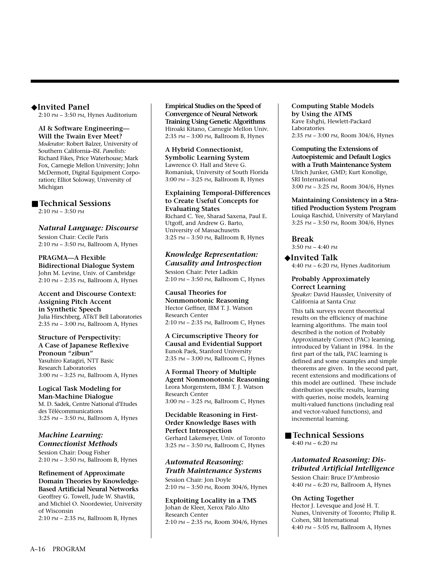#### ◆**Invited Panel**

2:10 PM – 3:50 PM, Hynes Auditorium

#### **AI & Software Engineering— Will the Twain Ever Meet?**

*Moderator:* Robert Balzer, University of Southern California–ISI. *Panelists:* Richard Fikes, Price Waterhouse; Mark Fox, Carnegie Mellon University; John McDermott, Digital Equipment Corporation; Elliot Soloway, University of Michigan

#### ■ **Technical Sessions**

2:10 PM – 3:50 PM

#### *Natural Language: Discourse*

Session Chair: Cecile Paris 2:10 PM – 3:50 PM, Ballroom A, Hynes

#### **PRAGMA—A Flexible**

**Bidirectional Dialogue System** John M. Levine, Univ. of Cambridge 2:10 PM – 2:35 PM, Ballroom A, Hynes

#### **Accent and Discourse Context: Assigning Pitch Accent in Synthetic Speech** Julia Hirschberg, AT&T Bell Laboratories 2:35 PM – 3:00 PM, Ballroom A, Hynes

**Structure of Perspectivity: A Case of Japanese Reflexive Pronoun "zibun"** Yasuhiro Katagiri, NTT Basic Research Laboratories 3:00 PM – 3:25 PM, Ballroom A, Hynes

#### **Logical Task Modeling for Man-Machine Dialogue** M. D. Sadek, Centre National d'Etudes des Télécommunications 3:25 PM – 3:50 PM, Ballroom A, Hynes

#### *Machine Learning: Connectionist Methods*

Session Chair: Doug Fisher 2:10 PM – 3:50 PM, Ballroom B, Hynes

#### **Refinement of Approximate Domain Theories by Knowledge-Based Artificial Neural Networks** Geoffrey G. Towell, Jude W. Shavlik, and Michiel O. Noordewier, University of Wisconsin

2:10 PM – 2:35 PM, Ballroom B, Hynes

**Empirical Studies on the Speed of Convergence of Neural Network Training Using Genetic Algorithms** Hiroaki Kitano, Carnegie Mellon Univ. 2:35 PM – 3:00 PM, Ballroom B, Hynes

#### **A Hybrid Connectionist, Symbolic Learning System** Lawrence O. Hall and Steve G. Romaniuk, University of South Florida 3:00 PM – 3:25 PM, Ballroom B, Hynes

#### **Explaining Temporal-Differences to Create Useful Concepts for Evaluating States**

Richard C. Yee, Sharad Saxena, Paul E. Utgoff, and Andrew G. Barto, University of Massachusetts 3:25 PM – 3:50 PM, Ballroom B, Hynes

#### *Knowledge Representation: Causality and Introspection*

Session Chair: Peter Ladkin 2:10 PM – 3:50 PM, Ballroom C, Hynes

#### **Causal Theories for Nonmonotonic Reasoning** Hector Geffner, IBM T. J. Watson Research Center 2:10 PM – 2:35 PM, Ballroom C, Hynes

**A Circumscriptive Theory for Causal and Evidential Support** Eunok Paek, Stanford University 2:35 PM – 3:00 PM, Ballroom C, Hynes

**A Formal Theory of Multiple Agent Nonmonotonic Reasoning** Leora Morgenstern, IBM T. J. Watson Research Center 3:00 PM – 3:25 PM, Ballroom C, Hynes

#### **Decidable Reasoning in First-Order Knowledge Bases with Perfect Introspection** Gerhard Lakemeyer, Univ. of Toronto 3:25 PM – 3:50 PM, Ballroom C, Hynes

#### *Automated Reasoning: Truth Maintenance Systems*

Session Chair: Jon Doyle 2:10 PM – 3:50 PM, Room 304/6, Hynes

**Exploiting Locality in a TMS** Johan de Kleer, Xerox Palo Alto Research Center 2:10 PM – 2:35 PM, Room 304/6, Hynes

#### **Computing Stable Models by Using the ATMS** Kave Eshghi, Hewlett-Packard Laboratories 2:35 PM – 3:00 PM, Room 304/6, Hynes

#### **Computing the Extensions of Autoepistemic and Default Logics with a Truth Maintenance System** Ulrich Junker, GMD; Kurt Konolige, SRI International 3:00 PM – 3:25 PM, Room 304/6, Hynes

**Maintaining Consistency in a Stratified Production System Program** Louiqa Raschid, University of Maryland 3:25 PM – 3:50 PM, Room 304/6, Hynes

**Break** 3:50 PM – 4:40 PM

#### ◆**Invited Talk**

4:40 PM – 6:20 PM, Hynes Auditorium

#### **Probably Approximately Correct Learning**

*Speaker:* David Haussler, University of California at Santa Cruz

This talk surveys recent theoretical results on the efficiency of machine learning algorithms. The main tool described is the notion of Probably Approximately Correct (PAC) learning, introduced by Valiant in 1984. In the first part of the talk, PAC learning is defined and some examples and simple theorems are given. In the second part, recent extensions and modifications of this model are outlined. These include distribution specific results, learning with queries, noise models, learning multi-valued functions (including real and vector-valued functions), and incremental learning.

#### ■ **Technical Sessions** 4:40 PM – 6:20 PM

## *Automated Reasoning: Distributed Artificial Intelligence*

Session Chair: Bruce D'Ambrosio 4:40 PM – 6:20 PM, Ballroom A, Hynes

#### **On Acting Together**

Hector J. Levesque and José H. T. Nunes, University of Toronto; Philip R. Cohen, SRI International 4:40 PM – 5:05 PM, Ballroom A, Hynes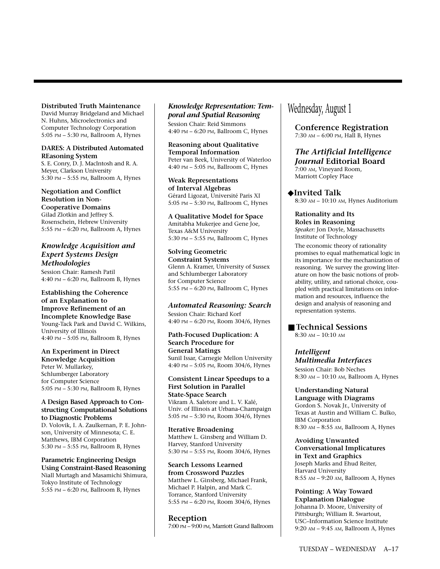#### **Distributed Truth Maintenance**

David Murray Bridgeland and Michael N. Huhns, Microelectronics and Computer Technology Corporation 5:05 PM – 5:30 PM, Ballroom A, Hynes

#### **DARES: A Distributed Automated REasoning System**

S. E. Conry, D. J. MacIntosh and R. A. Meyer, Clarkson University 5:30 PM – 5:55 PM, Ballroom A, Hynes

## **Negotiation and Conflict Resolution in Non-**

**Cooperative Domains** Gilad Zlotkin and Jeffrey S. Rosenschein, Hebrew University 5:55 PM – 6:20 PM, Ballroom A, Hynes

#### *Knowledge Acquisition and Expert Systems Design Methodologies*

Session Chair: Ramesh Patil 4:40 PM – 6:20 PM, Ballroom B, Hynes

#### **Establishing the Coherence of an Explanation to Improve Refinement of an Incomplete Knowledge Base** Young-Tack Park and David C. Wilkins, University of Illinois 4:40 PM – 5:05 PM, Ballroom B, Hynes

**An Experiment in Direct Knowledge Acquisition** Peter W. Mullarkey, Schlumberger Laboratory for Computer Science 5:05 PM – 5:30 PM, Ballroom B, Hynes

#### **A Design Based Approach to Constructing Computational Solutions to Diagnostic Problems**

D. Volovik, I. A. Zaulkernan, P. E. Johnson, University of Minnesota; C. E. Matthews, IBM Corporation 5:30 PM – 5:55 PM, Ballroom B, Hynes

#### **Parametric Engineering Design Using Constraint-Based Reasoning** Niall Murtagh and Masamichi Shimura, Tokyo Institute of Technology 5:55 PM – 6:20 PM, Ballroom B, Hynes

#### *Knowledge Representation: Temporal and Spatial Reasoning*

Session Chair: Reid Simmons 4:40 PM – 6:20 PM, Ballroom C, Hynes

**Reasoning about Qualitative Temporal Information** Peter van Beek, University of Waterloo 4:40 PM – 5:05 PM, Ballroom C, Hynes

**Weak Representations of Interval Algebras** Gérard Ligozat, Université Paris XI 5:05 PM – 5:30 PM, Ballroom C, Hynes

**A Qualitative Model for Space** Amitabha Mukerjee and Gene Joe, Texas A&M University 5:30 PM – 5:55 PM, Ballroom C, Hynes

#### **Solving Geometric Constraint Systems** Glenn A. Kramer, University of Sussex and Schlumberger Laboratory for Computer Science 5:55 PM – 6:20 PM, Ballroom C, Hynes

#### *Automated Reasoning: Search*

Session Chair: Richard Korf 4:40 PM – 6:20 PM, Room 304/6, Hynes

**Path-Focused Duplication: A Search Procedure for General Matings** Sunil Issar, Carnegie Mellon University 4:40 PM – 5:05 PM, Room 304/6, Hynes

#### **Consistent Linear Speedups to a First Solution in Parallel State-Space Search**

Vikram A. Saletore and L. V. Kalé, Univ. of Illinois at Urbana-Champaign 5:05 PM – 5:30 PM, Room 304/6, Hynes

**Iterative Broadening** Matthew L. Ginsberg and William D. Harvey, Stanford University 5:30 PM – 5:55 PM, Room 304/6, Hynes

**Search Lessons Learned from Crossword Puzzles** Matthew L. Ginsberg, Michael Frank, Michael P. Halpin, and Mark C. Torrance, Stanford University 5:55 PM – 6:20 PM, Room 304/6, Hynes

**Reception** 7:00 PM – 9:00 PM, Marriott Grand Ballroom

# Wednesday, August 1

**Conference Registration** 7:30 AM – 6:00 PM, Hall B, Hynes

## *The Artificial Intelligence Journal* **Editorial Board**

7:00 AM, Vineyard Room, Marriott Copley Place

◆**Invited Talk** 8:30 AM – 10:10 AM, Hynes Auditorium

**Rationality and Its Roles in Reasoning** *Speaker:* Jon Doyle, Massachusetts Institute of Technology

The economic theory of rationality promises to equal mathematical logic in its importance for the mechanization of reasoning. We survey the growing literature on how the basic notions of probability, utility, and rational choice, coupled with practical limitations on information and resources, influence the design and analysis of reasoning and representation systems.

#### ■ **Technical Sessions**

8:30 AM – 10:10 AM

#### *Intelligent Multimedia Interfaces*

Session Chair: Bob Neches 8:30 AM – 10:10 AM, Ballroom A, Hynes

# **Understanding Natural**

**Language with Diagrams** Gordon S. Novak Jr., University of Texas at Austin and William C. Bulko, IBM Corporation 8:30 AM – 8:55 AM, Ballroom A, Hynes

**Avoiding Unwanted Conversational Implicatures in Text and Graphics** Joseph Marks and Ehud Reiter, Harvard University 8:55 AM – 9:20 AM, Ballroom A, Hynes

**Pointing: A Way Toward Explanation Dialogue** Johanna D. Moore, University of Pittsburgh; William R. Swartout, USC–Information Science Institute 9:20 AM – 9:45 AM, Ballroom A, Hynes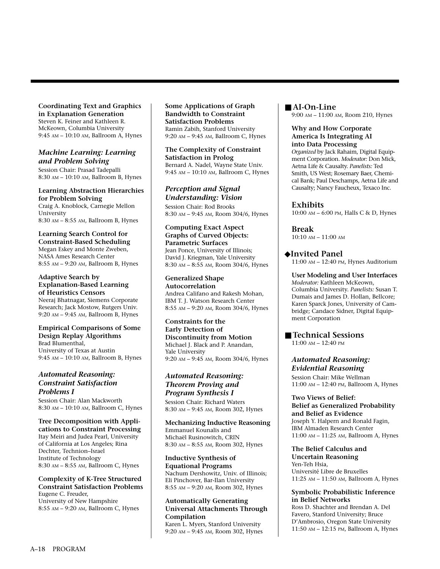**Coordinating Text and Graphics in Explanation Generation** Steven K. Feiner and Kathleen R. McKeown, Columbia University 9:45 AM – 10:10 AM, Ballroom A, Hynes

#### *Machine Learning: Learning and Problem Solving*

Session Chair: Prasad Tadepalli 8:30 AM – 10:10 AM, Ballroom B, Hynes

#### **Learning Abstraction Hierarchies for Problem Solving**

Craig A. Knoblock, Carnegie Mellon University 8:30 AM – 8:55 AM, Ballroom B, Hynes

**Learning Search Control for Constraint-Based Scheduling** Megan Eskey and Monte Zweben, NASA Ames Research Center 8:55 AM – 9:20 AM, Ballroom B, Hynes

#### **Adaptive Search by Explanation-Based Learning of Heuristics Censors**

Neeraj Bhatnagar, Siemens Corporate Research; Jack Mostow, Rutgers Univ. 9:20 AM – 9:45 AM, Ballroom B, Hynes

**Empirical Comparisons of Some Design Replay Algorithms** Brad Blumenthal, University of Texas at Austin 9:45 AM – 10:10 AM, Ballroom B, Hynes

#### *Automated Reasoning: Constraint Satisfaction Problems I*

Session Chair: Alan Mackworth 8:30 AM – 10:10 AM, Ballroom C, Hynes

**Tree Decomposition with Applications to Constraint Processing** Itay Meiri and Judea Pearl, University of California at Los Angeles; Rina Dechter, Technion–Israel Institute of Technology 8:30 AM – 8:55 AM, Ballroom C, Hynes

#### **Complexity of K-Tree Structured Constraint Satisfaction Problems** Eugene C. Freuder,

University of New Hampshire 8:55 AM – 9:20 AM, Ballroom C, Hynes **Some Applications of Graph Bandwidth to Constraint Satisfaction Problems** Ramin Zabih, Stanford University 9:20 AM – 9:45 AM, Ballroom C, Hynes

**The Complexity of Constraint Satisfaction in Prolog** Bernard A. Nadel, Wayne State Univ. 9:45 AM – 10:10 AM, Ballroom C, Hynes

#### *Perception and Signal Understanding: Vision*

Session Chair: Rod Brooks 8:30 AM – 9:45 AM, Room 304/6, Hynes

**Computing Exact Aspect Graphs of Curved Objects: Parametric Surfaces** Jean Ponce, University of Illinois;

David J. Kriegman, Yale University 8:30 AM – 8:55 AM, Room 304/6, Hynes

**Generalized Shape Autocorrelation** Andrea Califano and Rakesh Mohan, IBM T. J. Watson Research Center 8:55 AM – 9:20 AM, Room 304/6, Hynes

**Constraints for the Early Detection of Discontinuity from Motion** Michael J. Black and P. Anandan, Yale University 9:20 AM – 9:45 AM, Room 304/6, Hynes

#### *Automated Reasoning: Theorem Proving and Program Synthesis I*

Session Chair: Richard Waters 8:30 AM – 9:45 AM, Room 302, Hynes

**Mechanizing Inductive Reasoning** Emmanuel Kounalis and Michaël Rusinowitch, CRIN 8:30 AM – 8:55 AM, Room 302, Hynes

**Inductive Synthesis of Equational Programs** Nachum Dershowitz, Univ. of Illinois; Eli Pinchover, Bar-Ilan University 8:55 AM – 9:20 AM, Room 302, Hynes

#### **Automatically Generating Universal Attachments Through Compilation**

Karen L. Myers, Stanford University 9:20 AM – 9:45 AM, Room 302, Hynes ■ **AI-On-Line** 9:00 AM – 11:00 AM, Room 210, Hynes

#### **Why and How Corporate America Is Integrating AI into Data Processing**

*Organized* by Jack Rahaim, Digital Equipment Corporation. *Moderator:* Don Mick, Aetna Life & Causalty. *Panelists:* Ted Smith, US West; Rosemary Baer, Chemical Bank; Paul Deschamps, Aetna Life and Causalty; Nancy Faucheux, Texaco Inc.

#### **Exhibits**

10:00 AM – 6:00 PM, Halls C & D, Hynes

**Break** 10:10 AM – 11:00 AM

◆**Invited Panel**

11:00 AM – 12:40 PM, Hynes Auditorium

#### **User Modeling and User Interfaces**

*Moderator:* Kathleen McKeown, Columbia University. *Panelists:* Susan T. Dumais and James D. Hollan, Bellcore; Karen Sparck Jones, University of Cambridge; Candace Sidner, Digital Equipment Corporation

■ **Technical Sessions** 11:00 AM – 12:40 PM

*Automated Reasoning: Evidential Reasoning* Session Chair: Mike Wellman

11:00 AM – 12:40 PM, Ballroom A, Hynes

**Two Views of Belief: Belief as Generalized Probability and Belief as Evidence** Joseph Y. Halpern and Ronald Fagin, IBM Almaden Research Center 11:00 AM – 11:25 AM, Ballroom A, Hynes

**The Belief Calculus and Uncertain Reasoning** Yen-Teh Hsia, Université Libre de Bruxelles 11:25 AM – 11:50 AM, Ballroom A, Hynes

#### **Symbolic Probabilistic Inference in Belief Networks**

Ross D. Shachter and Brendan A. Del Favero, Stanford University; Bruce D'Ambrosio, Oregon State University 11:50 AM – 12:15 PM, Ballroom A, Hynes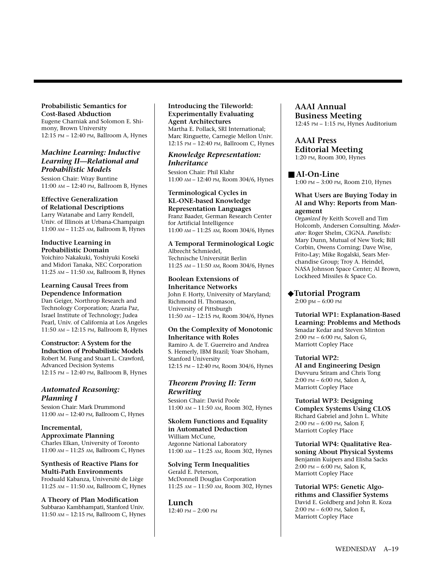#### **Probabilistic Semantics for Cost-Based Abduction**

Eugene Charniak and Solomon E. Shimony, Brown University 12:15 PM – 12:40 PM, Ballroom A, Hynes

#### *Machine Learning: Inductive Learning II—Relational and Probabilistic Models*

Session Chair: Wray Buntine 11:00 AM – 12:40 PM, Ballroom B, Hynes

## **Effective Generalization**

**of Relational Descriptions** Larry Watanabe and Larry Rendell, Univ. of Illinois at Urbana-Champaign 11:00 AM – 11:25 AM, Ballroom B, Hynes

#### **Inductive Learning in Probabilistic Domain**

Yoichiro Nakakuki, Yoshiyuki Koseki and Midori Tanaka, NEC Corporation 11:25 AM – 11:50 AM, Ballroom B, Hynes

# **Learning Causal Trees from**

**Dependence Information** Dan Geiger, Northrop Research and Technology Corporation; Azaria Paz, Israel Institute of Technology; Judea Pearl, Univ. of California at Los Angeles 11:50 AM – 12:15 PM, Ballroom B, Hynes

**Constructor: A System for the Induction of Probabilistic Models** Robert M. Fung and Stuart L. Crawford, Advanced Decision Systems 12:15 PM – 12:40 PM, Ballroom B, Hynes

#### *Automated Reasoning: Planning I*

Session Chair: Mark Drummond 11:00 AM – 12:40 PM, Ballroom C, Hynes

**Incremental, Approximate Planning** Charles Elkan, University of Toronto 11:00 AM – 11:25 AM, Ballroom C, Hynes

**Synthesis of Reactive Plans for Multi-Path Environments** Froduald Kabanza, Université de Liège 11:25 AM – 11:50 AM, Ballroom C, Hynes

**A Theory of Plan Modification** Subbarao Kambhampati, Stanford Univ. 11:50 AM – 12:15 PM, Ballroom C, Hynes

#### **Introducing the Tileworld: Experimentally Evaluating Agent Architectures** Martha E. Pollack, SRI International;

Marc Ringuette, Carnegie Mellon Univ. 12:15 PM – 12:40 PM, Ballroom C, Hynes

*Knowledge Representation: Inheritance*

Session Chair: Phil Klahr 11:00 AM – 12:40 PM, Room 304/6, Hynes

#### **Terminological Cycles in KL-ONE-based Knowledge Representation Languages** Franz Baader, German Research Center for Artificial Intelligence

11:00 AM – 11:25 AM, Room 304/6, Hynes

**A Temporal Terminological Logic**  Albrecht Schmiedel, Technische Universität Berlin 11:25 AM – 11:50 AM, Room 304/6, Hynes

**Boolean Extensions of Inheritance Networks** John F. Horty, University of Maryland; Richmond H. Thomason, University of Pittsburgh 11:50 AM – 12:15 PM, Room 304/6, Hynes

#### **On the Complexity of Monotonic Inheritance with Roles** Ramiro A. de T. Guerreiro and Andrea S. Hemerly, IBM Brazil; Yoav Shoham, Stanford University 12:15 PM – 12:40 PM, Room 304/6, Hynes

*Theorem Proving II: Term*

*Rewriting* Session Chair: David Poole 11:00 AM – 11:50 AM, Room 302, Hynes

# **Skolem Functions and Equality**

**in Automated Deduction** William McCune, Argonne National Laboratory 11:00 AM – 11:25 AM, Room 302, Hynes

**Solving Term Inequalities** Gerald E. Peterson, McDonnell Douglas Corporation 11:25 AM – 11:50 AM, Room 302, Hynes

**Lunch** 12:40 PM – 2:00 PM

#### **AAAI Annual Business Meeting** 12:45 PM – 1:15 PM, Hynes Auditorium

**AAAI Press Editorial Meeting** 1:20 PM, Room 300, Hynes

#### ■ **AI-On-Line**

1:00 PM – 3:00 PM, Room 210, Hynes

#### **What Users are Buying Today in AI and Why: Reports from Management**

*Organized by* Keith Scovell and Tim Holcomb, Andersen Consulting. *Moderator:* Roger Shelm, CIGNA. *Panelists:* Mary Dunn, Mutual of New York; Bill Corbin, Owens Corning; Dave Wise, Frito-Lay; Mike Rogalski, Sears Merchandise Group; Troy A. Heindel, NASA Johnson Space Center; Al Brown, Lockheed Missiles & Space Co.

#### ◆**Tutorial Program**

2:00 pM – 6:00 PM

**Tutorial WP1: Explanation-Based Learning: Problems and Methods** Smadar Kedar and Steven Minton 2:00 PM – 6:00 PM, Salon G, Marriott Copley Place

#### **Tutorial WP2:**

**AI and Engineering Design** Duvvuru Sriram and Chris Tong 2:00 PM – 6:00 PM, Salon A, Marriott Copley Place

**Tutorial WP3: Designing Complex Systems Using CLOS** Richard Gabriel and John L. White 2:00 PM – 6:00 PM, Salon F, Marriott Copley Place

**Tutorial WP4: Qualitative Reasoning About Physical Systems** Benjamin Kuipers and Elisha Sacks 2:00 PM – 6:00 PM, Salon K, Marriott Copley Place

**Tutorial WP5: Genetic Algorithms and Classifier Systems** David E. Goldberg and John R. Koza 2:00 PM – 6:00 PM, Salon E, Marriott Copley Place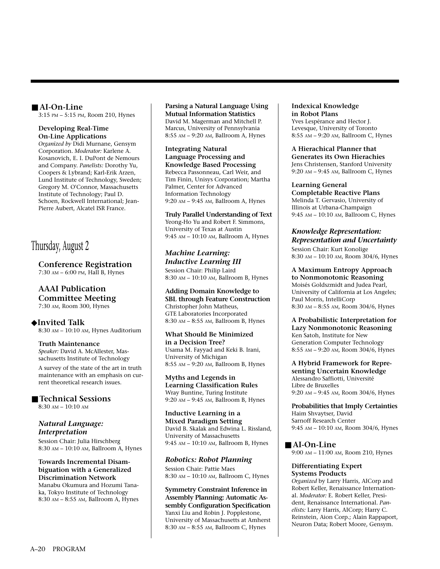#### ■ **AI-On-Line**

3:15 PM – 5:15 PM, Room 210, Hynes

#### **Developing Real-Time On-Line Applications**

*Organized by* Didi Murnane, Gensym Corporation. *Moderator:* Karlene A. Kosanovich, E. I. DuPont de Nemours and Company. *Panelists:* Dorothy Yu, Coopers & Lybrand; Karl-Erik Arzen, Lund Institute of Technology, Sweden; Gregory M. O'Connor, Massachusetts Institute of Technology; Paul D. Schoen, Rockwell International; Jean-Pierre Aubert, Alcatel ISR France.

# Thursday, August 2

#### **Conference Registration** 7:30 AM – 6:00 PM, Hall B, Hynes

## **AAAI Publication Committee Meeting**

7:30 AM, Room 300, Hynes

#### ◆**Invited Talk**

8:30 AM – 10:10 AM, Hynes Auditorium

#### **Truth Maintenance**

*Speaker:* David A. McAllester, Massachusetts Institute of Technology

A survey of the state of the art in truth maintenance with an emphasis on current theoretical research issues.

#### ■ **Technical Sessions**

8:30 AM – 10:10 AM

#### *Natural Language: Interpretation*

Session Chair: Julia Hirschberg 8:30 AM – 10:10 AM, Ballroom A, Hynes

#### **Towards Incremental Disambiguation with a Generalized Discrimination Network** Manabu Okumura and Hozumi Tana-

ka, Tokyo Institute of Technology 8:30 AM – 8:55 AM, Ballroom A, Hynes

#### **Parsing a Natural Language Using Mutual Information Statistics** David M. Magerman and Mitchell P. Marcus, University of Pennsylvania 8:55 AM – 9:20 AM, Ballroom A, Hynes

**Integrating Natural Language Processing and Knowledge Based Processing** Rebecca Passonneau, Carl Weir, and Tim Finin, Unisys Corporation; Martha Palmer, Center for Advanced Information Technology 9:20 AM – 9:45 AM, Ballroom A, Hynes

**Truly Parallel Understanding of Text** Yeong-Ho Yu and Robert F. Simmons, University of Texas at Austin 9:45 AM – 10:10 AM, Ballroom A, Hynes

*Machine Learning: Inductive Learning III* Session Chair: Philip Laird 8:30 AM – 10:10 AM, Ballroom B, Hynes

#### **Adding Domain Knowledge to SBL through Feature Construction** Christopher John Matheus, GTE Laboratories Incorporated 8:30 AM – 8:55 AM, Ballroom B, Hynes

**What Should Be Minimized in a Decision Tree?** Usama M. Fayyad and Keki B. Irani, University of Michigan 8:55 AM – 9:20 AM, Ballroom B, Hynes

**Myths and Legends in Learning Classification Rules** Wray Buntine, Turing Institute 9:20 AM – 9:45 AM, Ballroom B, Hynes

**Inductive Learning in a Mixed Paradigm Setting** David B. Skalak and Edwina L. Rissland, University of Massachusetts 9:45 AM – 10:10 AM, Ballroom B, Hynes

#### *Robotics: Robot Planning*

Session Chair: Pattie Maes 8:30 AM – 10:10 AM, Ballroom C, Hynes

**Symmetry Constraint Inference in Assembly Planning: Automatic Assembly Configuration Specification** Yanxi Liu and Robin J. Popplestone, University of Massachusetts at Amherst 8:30 AM – 8:55 AM, Ballroom C, Hynes

#### **Indexical Knowledge in Robot Plans** Yves Lespérance and Hector J. Levesque, University of Toronto 8:55 AM – 9:20 AM, Ballroom C, Hynes

#### **A Hierachical Planner that Generates its Own Hierachies** Jens Christensen, Stanford University 9:20 AM – 9:45 AM, Ballroom C, Hynes

#### **Learning General**

**Completable Reactive Plans** Melinda T. Gervasio, University of Illinois at Urbana-Champaign 9:45 AM – 10:10 AM, Ballroom C, Hynes

## *Knowledge Representation: Representation and Uncertainty*

Session Chair: Kurt Konolige 8:30 AM – 10:10 AM, Room 304/6, Hynes

## **A Maximum Entropy Approach**

**to Nonmonotonic Reasoning** Moisés Goldszmidt and Judea Pearl, University of California at Los Angeles; Paul Morris, IntelliCorp 8:30 AM – 8:55 AM, Room 304/6, Hynes

**A Probabilistic Interpretation for Lazy Nonmonotonic Reasoning** Ken Satoh, Institute for New Generation Computer Technology 8:55 AM – 9:20 AM, Room 304/6, Hynes

**A Hybrid Framework for Representing Uncertain Knowledge** Alessandro Saffiotti, Université Libre de Bruxelles 9:20 AM – 9:45 AM, Room 304/6, Hynes

**Probabilities that Imply Certainties** Haim Shvaytser, David Sarnoff Research Center 9:45 AM – 10:10 AM, Room 304/6, Hynes

#### ■ **AI-On-Line**

9:00 AM – 11:00 AM, Room 210, Hynes

#### **Differentiating Expert Systems Products**

*Organized* by Larry Harris, AICorp and Robert Keller, Renaissance International. *Moderator:* E. Robert Keller, President, Renaissance International. *Panelists:* Larry Harris, AICorp; Harry C. Reinstein, Aion Corp.; Alain Rappaport, Neuron Data; Robert Moore, Gensym.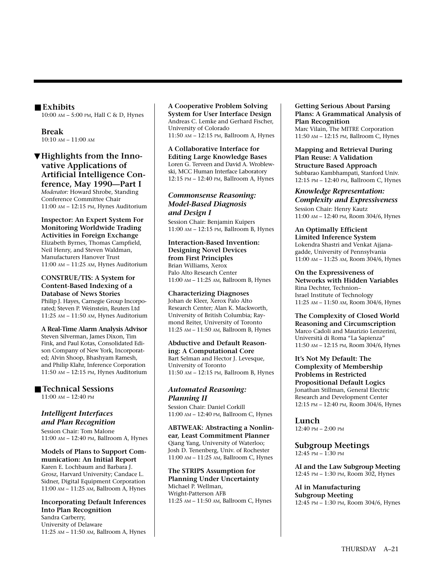#### ■ **Exhibits**

10:00 AM – 5:00 PM, Hall C & D, Hynes

**Break** 10:10 AM – 11:00 AM

▼**Highlights from the Innovative Applications of Artificial Intelligence Conference, May 1990—Part I**

*Moderator:* Howard Shrobe, Standing Conference Committee Chair 11:00 AM – 12:15 PM, Hynes Auditorium

**Inspector: An Expert System For Monitoring Worldwide Trading Activities in Foreign Exchange** Elizabeth Byrnes, Thomas Campfield, Neil Henry, and Steven Waldman, Manufacturers Hanover Trust 11:00 AM – 11:25 AM, Hynes Auditorium

**CONSTRUE/TIS: A System for Content-Based Indexing of a Database of News Stories** Philip J. Hayes, Carnegie Group Incorporated; Steven P. Weinstein, Reuters Ltd

11:25 AM – 11:50 AM, Hynes Auditorium

**A Real-Time Alarm Analysis Advisor** Steven Silverman, James Dixon, Tim Fink, and Paul Kotas, Consolidated Edison Company of New York, Incorporated; Alvin Shoop, Bhashyam Ramesh, and Philip Klahr, Inference Corporation 11:50 AM – 12:15 PM, Hynes Auditorium

#### ■ **Technical Sessions**

11:00 AM – 12:40 PM

#### *Intelligent Interfaces and Plan Recognition*

Session Chair: Tom Malone 11:00 AM – 12:40 PM, Ballroom A, Hynes

**Models of Plans to Support Communication: An Initial Report** Karen E. Lochbaum and Barbara J. Grosz, Harvard University; Candace L. Sidner, Digital Equipment Corporation 11:00 AM – 11:25 AM, Ballroom A, Hynes

#### **Incorporating Default Inferences Into Plan Recognition** Sandra Carberry, University of Delaware 11:25 AM – 11:50 AM, Ballroom A, Hynes

#### **A Cooperative Problem Solving System for User Interface Design**  Andreas C. Lemke and Gerhard Fischer, University of Colorado 11:50 AM – 12:15 PM, Ballroom A, Hynes

**A Collaborative Interface for Editing Large Knowledge Bases** Loren G. Terveen and David A. Wroblewski, MCC Human Interface Laboratory 12:15 PM – 12:40 PM, Ballroom A, Hynes

#### *Commonsense Reasoning: Model-Based Diagnosis and Design I*

Session Chair: Benjamin Kuipers 11:00 AM – 12:15 PM, Ballroom B, Hynes

**Interaction-Based Invention: Designing Novel Devices from First Principles** Brian Williams, Xerox Palo Alto Research Center 11:00 AM – 11:25 AM, Ballroom B, Hynes

**Characterizing Diagnoses** Johan de Kleer, Xerox Palo Alto Research Center; Alan K. Mackworth, University of British Columbia; Raymond Reiter, University of Toronto 11:25 AM – 11:50 AM, Ballroom B, Hynes

**Abductive and Default Reasoning: A Computational Core** Bart Selman and Hector J. Levesque, University of Toronto 11:50 AM – 12:15 PM, Ballroom B, Hynes

#### *Automated Reasoning: Planning II*

Session Chair: Daniel Corkill 11:00 AM – 12:40 PM, Ballroom C, Hynes

**ABTWEAK: Abstracting a Nonlinear, Least Commitment Planner** Qiang Yang, University of Waterloo; Josh D. Tenenberg, Univ. of Rochester 11:00 AM – 11:25 AM, Ballroom C, Hynes

**The STRIPS Assumption for Planning Under Uncertainty** Michael P. Wellman, Wright-Patterson AFB 11:25 AM – 11:50 AM, Ballroom C, Hynes **Getting Serious About Parsing Plans: A Grammatical Analysis of Plan Recognition** Marc Vilain, The MITRE Corporation 11:50 AM – 12:15 PM, Ballroom C, Hynes

**Mapping and Retrieval During Plan Reuse: A Validation Structure Based Approach** Subbarao Kambhampati, Stanford Univ. 12:15 PM – 12:40 PM, Ballroom C, Hynes

*Knowledge Representation: Complexity and Expressiveness* Session Chair: Henry Kautz 11:00 AM – 12:40 PM, Room 304/6, Hynes

**An Optimally Efficient Limited Inference System** Lokendra Shastri and Venkat Ajjanagadde, University of Pennsylvania 11:00 AM – 11:25 AM, Room 304/6, Hynes

**On the Expressiveness of Networks with Hidden Variables** Rina Dechter, Technion– Israel Institute of Technology 11:25 AM – 11:50 AM, Room 304/6, Hynes

**The Complexity of Closed World Reasoning and Circumscription** Marco Cadoli and Maurizio Lenzerini, Università di Roma "La Sapienza" 11:50 AM – 12:15 PM, Room 304/6, Hynes

**It's Not My Default: The Complexity of Membership Problems in Restricted Propositional Default Logics** Jonathan Stillman, General Electric Research and Development Center 12:15 PM – 12:40 PM, Room 304/6, Hynes

**Lunch**

12:40 PM – 2:00 PM

**Subgroup Meetings** 12:45 PM – 1:30 PM

**AI and the Law Subgroup Meeting** 12:45 PM – 1:30 PM, Room 302, Hynes

**AI in Manufacturing Subgroup Meeting** 12:45 PM – 1:30 PM, Room 304/6, Hynes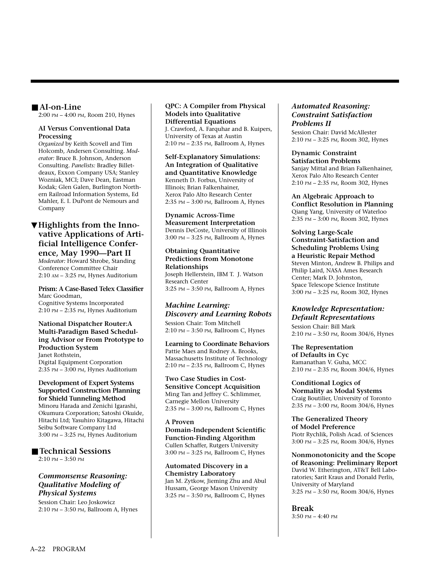#### ■ **AI-on-Line**

2:00 PM – 4:00 PM, Room 210, Hynes

#### **AI Versus Conventional Data Processing**

*Organized* by Keith Scovell and Tim Holcomb, Andersen Consulting. *Moderator:* Bruce B. Johnson, Anderson Consulting. *Panelists:* Bradley Billetdeaux, Exxon Company USA; Stanley Wozniak, MCI; Dave Dean, Eastman Kodak; Glen Galen, Burlington Northern Railroad Information Systems, Ed Mahler, E. I. DuPont de Nemours and Company

## ▼**Highlights from the Innovative Applications of Artificial Intelligence Confer-**

**ence, May 1990—Part II** *Moderator:* Howard Shrobe, Standing Conference Committee Chair 2:10 AM – 3:25 PM, Hynes Auditorium

#### **Prism: A Case-Based Telex Classifier** Marc Goodman, Cognitive Systems Incorporated 2:10 PM – 2:35 PM, Hynes Auditorium

#### **National Dispatcher Router:A Multi-Paradigm Based Scheduling Advisor or From Prototype to Production System**

Janet Rothstein, Digital Equipment Corporation 2:35 PM – 3:00 PM, Hynes Auditorium

#### **Development of Expert Systems Supported Construction Planning for Shield Tunneling Method**

Minoru Harada and Zenichi Igarashi, Okumura Corporation; Satoshi Okuide, Hitachi Ltd; Yasuhiro Kitagawa, Hitachi Seibu Software Company Ltd 3:00 PM – 3:25 PM, Hynes Auditorium

#### ■ **Technical Sessions**

2:10 PM – 3:50 PM

#### *Commonsense Reasoning: Qualitative Modeling of Physical Systems*

Session Chair: Leo Joskowicz 2:10 PM – 3:50 PM, Ballroom A, Hynes

#### **QPC: A Compiler from Physical Models into Qualitative Differential Equations** J. Crawford, A. Farquhar and B. Kuipers, University of Texas at Austin 2:10 PM – 2:35 PM, Ballroom A, Hynes

#### **Self-Explanatory Simulations: An Integration of Qualitative and Quantitative Knowledge** Kenneth D. Forbus, University of Illinois; Brian Falkenhainer, Xerox Palo Alto Research Center 2:35 PM – 3:00 PM, Ballroom A, Hynes

**Dynamic Across-Time Measurement Interpretation** Dennis DeCoste, University of Illinois 3:00 PM – 3:25 PM, Ballroom A, Hynes

#### **Obtaining Quantitative Predictions from Monotone Relationships**

Joseph Hellerstein, IBM T. J. Watson Research Center 3:25 PM – 3:50 PM, Ballroom A, Hynes

## *Machine Learning: Discovery and Learning Robots*

Session Chair: Tom Mitchell 2:10 PM – 3:50 PM, Ballroom C, Hynes

## **Learning to Coordinate Behaviors** Pattie Maes and Rodney A. Brooks,

Massachusetts Institute of Technology 2:10 PM – 2:35 PM, Ballroom C, Hynes

#### **Two Case Studies in Cost-Sensitive Concept Acquisition** Ming Tan and Jeffrey C. Schlimmer, Carnegie Mellon University

2:35 PM – 3:00 PM, Ballroom C, Hynes

#### **A Proven**

**Domain-Independent Scientific Function-Finding Algorithm** Cullen Schaffer, Rutgers University 3:00 PM – 3:25 PM, Ballroom C, Hynes

**Automated Discovery in a Chemistry Laboratory** Jan M. Zytkow, Jieming Zhu and Abul Hussam, George Mason University 3:25 PM – 3:50 PM, Ballroom C, Hynes

#### *Automated Reasoning: Constraint Satisfaction Problems II*

Session Chair: David McAllester 2:10 PM – 3:25 PM, Room 302, Hynes

#### **Dynamic Constraint Satisfaction Problems** Sanjay Mittal and Brian Falkenhainer, Xerox Palo Alto Research Center 2:10 PM – 2:35 PM, Room 302, Hynes

**An Algebraic Approach to Conflict Resolution in Planning** Qiang Yang, University of Waterloo 2:35 PM – 3:00 PM, Room 302, Hynes

**Solving Large-Scale Constraint-Satisfaction and Scheduling Problems Using a Heuristic Repair Method** Steven Minton, Andrew B. Philips and Philip Laird, NASA Ames Research Center; Mark D. Johnston, Space Telescope Science Institute 3:00 PM – 3:25 PM, Room 302, Hynes

#### *Knowledge Representation: Default Representations*

Session Chair: Bill Mark 2:10 PM – 3:50 PM, Room 304/6, Hynes

**The Representation of Defaults in Cyc** Ramanathan V. Guha, MCC 2:10 PM – 2:35 PM, Room 304/6, Hynes

**Conditional Logics of Normality as Modal Systems** Craig Boutilier, University of Toronto 2:35 PM – 3:00 PM, Room 304/6, Hynes

#### **The Generalized Theory of Model Preference**

Piotr Rychlik, Polish Acad. of Sciences 3:00 PM – 3:25 PM, Room 304/6, Hynes

**Nonmonotonicity and the Scope of Reasoning: Preliminary Report** David W. Etherington, AT&T Bell Laboratories; Sarit Kraus and Donald Perlis, University of Maryland 3:25 PM – 3:50 PM, Room 304/6, Hynes

**Break**

3:50 PM – 4:40 PM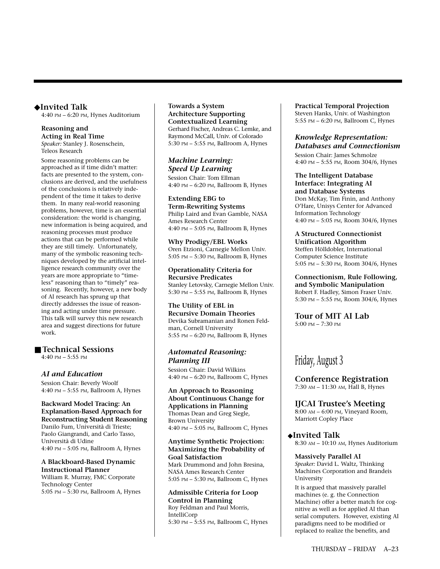#### ◆**Invited Talk**

4:40 PM – 6:20 PM, Hynes Auditorium

#### **Reasoning and Acting in Real Time** *Speaker:* Stanley J. Rosenschein, Teleos Research

Some reasoning problems can be approached as if time didn't matter: facts are presented to the system, conclusions are derived, and the usefulness of the conclusions is relatively independent of the time it takes to derive them. In many real-world reasoning problems, however, time is an essential consideration: the world is changing, new information is being acquired, and reasoning processes must produce actions that can be performed while they are still timely. Unfortunately, many of the symbolic reasoning techniques developed by the artificial intelligence research community over the years are more appropriate to "timeless" reasoning than to "timely" reasoning. Recently, however, a new body of AI research has sprung up that directly addresses the issue of reasoning and acting under time pressure. This talk will survey this new research area and suggest directions for future work.

#### ■ **Technical Sessions**

4:40 PM – 5:55 PM

#### *AI and Education*

Session Chair: Beverly Woolf 4:40 PM – 5:55 PM, Ballroom A, Hynes

#### **Backward Model Tracing: An Explanation-Based Approach for Reconstructing Student Reasoning** Danilo Fum, Università di Trieste; Paolo Giangrandi, and Carlo Tasso, Università di Udine 4:40 PM – 5:05 PM, Ballroom A, Hynes

**A Blackboard-Based Dynamic Instructional Planner** William R. Murray, FMC Corporate Technology Center 5:05 PM – 5:30 PM, Ballroom A, Hynes **Towards a System Architecture Supporting Contextualized Learning** Gerhard Fischer, Andreas C. Lemke, and Raymond McCall, Univ. of Colorado 5:30 PM – 5:55 PM, Ballroom A, Hynes

*Machine Learning: Speed Up Learning* Session Chair: Tom Ellman 4:40 PM – 6:20 PM, Ballroom B, Hynes

**Extending EBG to Term-Rewriting Systems** Philip Laird and Evan Gamble, NASA Ames Research Center 4:40 PM – 5:05 PM, Ballroom B, Hynes

**Why Prodigy/EBL Works** Oren Etzioni, Carnegie Mellon Univ. 5:05 PM – 5:30 PM, Ballroom B, Hynes

**Operationality Criteria for Recursive Predicates** Stanley Letovsky, Carnegie Mellon Univ. 5:30 PM – 5:55 PM, Ballroom B, Hynes

**The Utility of EBL in Recursive Domain Theories** Devika Subramanian and Ronen Feldman, Cornell University 5:55 PM – 6:20 PM, Ballroom B, Hynes

#### *Automated Reasoning: Planning III*

Session Chair: David Wilkins 4:40 PM – 6:20 PM, Ballroom C, Hynes

**An Approach to Reasoning About Continuous Change for Applications in Planning** Thomas Dean and Greg Siegle, Brown University 4:40 PM – 5:05 PM, Ballroom C, Hynes

**Anytime Synthetic Projection: Maximizing the Probability of Goal Satisfaction** Mark Drummond and John Bresina, NASA Ames Research Center 5:05 PM – 5:30 PM, Ballroom C, Hynes

**Admissible Criteria for Loop Control in Planning** Roy Feldman and Paul Morris, IntelliCorp 5:30 PM – 5:55 PM, Ballroom C, Hynes **Practical Temporal Projection** Steven Hanks, Univ. of Washington 5:55 PM – 6:20 PM, Ballroom C, Hynes

#### *Knowledge Representation: Databases and Connectionism*

Session Chair: James Schmolze 4:40 PM – 5:55 PM, Room 304/6, Hynes

**The Intelligent Database Interface: Integrating AI and Database Systems** Don McKay, Tim Finin, and Anthony O'Hare, Unisys Center for Advanced Information Technology 4:40 PM – 5:05 PM, Room 304/6, Hynes

**A Structured Connectionist Unification Algorithm** Steffen Hölldobler, International Computer Science Institute 5:05 PM – 5:30 PM, Room 304/6, Hynes

**Connectionism, Rule Following, and Symbolic Manipulation** Robert F. Hadley, Simon Fraser Univ. 5:30 PM – 5:55 PM, Room 304/6, Hynes

**Tour of MIT AI Lab**  5:00 PM – 7:30 PM

# Friday, August 3

**Conference Registration** 7:30 AM – 11:30 AM, Hall B, Hynes

**IJCAI Trustee's Meeting** 8:00 AM – 6:00 PM, Vineyard Room, Marriott Copley Place

◆**Invited Talk** 8:30 AM – 10:10 AM, Hynes Auditorium

# **Massively Parallel AI**

*Speaker:* David L. Waltz, Thinking Machines Corporation and Brandeis University

It is argued that massively parallel machines (e. g. the Connection Machine) offer a better match for cognitive as well as for applied AI than serial computers. However, existing AI paradigms need to be modified or replaced to realize the benefits, and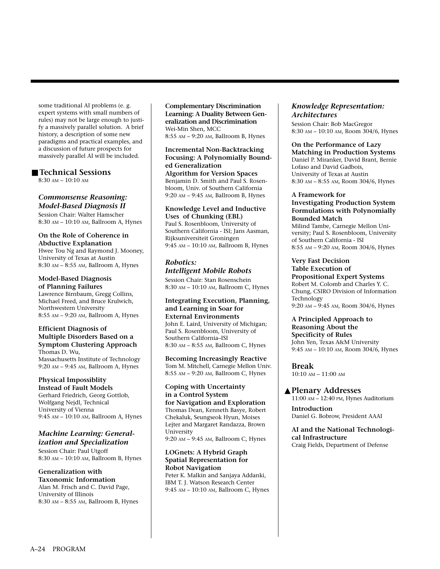some traditional AI problems (e. g. expert systems with small numbers of rules) may not be large enough to justify a massively parallel solution. A brief history, a description of some new paradigms and practical examples, and a discussion of future prospects for massively parallel AI will be included.

#### ■ **Technical Sessions**

8:30 AM – 10:10 AM

#### *Commonsense Reasoning: Model-Based Diagnosis II*

Session Chair: Walter Hamscher 8:30 AM – 10:10 AM, Ballroom A, Hynes

# **On the Role of Coherence in**

**Abductive Explanation** Hwee Tou Ng and Raymond J. Mooney, University of Texas at Austin 8:30 AM – 8:55 AM, Ballroom A, Hynes

**Model-Based Diagnosis of Planning Failures** Lawrence Birnbaum, Gregg Collins, Michael Freed, and Bruce Krulwich, Northwestern University 8:55 AM – 9:20 AM, Ballroom A, Hynes

#### **Efficient Diagnosis of Multiple Disorders Based on a Symptom Clustering Approach** Thomas D. Wu,

Massachusetts Institute of Technology 9:20 AM – 9:45 AM, Ballroom A, Hynes

## **Physical Impossiblity**

**Instead of Fault Models** Gerhard Friedrich, Georg Gottlob, Wolfgang Nejdl, Technical University of Vienna 9:45 AM – 10:10 AM, Ballroom A, Hynes

#### *Machine Learning: Generalization and Specialization*

Session Chair: Paul Utgoff 8:30 AM – 10:10 AM, Ballroom B, Hynes

## **Generalization with**

**Taxonomic Information** Alan M. Frisch and C. David Page, University of Illinois 8:30 AM – 8:55 AM, Ballroom B, Hynes

**Complementary Discrimination Learning: A Duality Between Generalization and Discrimination** Wei-Min Shen, MCC 8:55 AM – 9:20 AM, Ballroom B, Hynes

#### **Incremental Non-Backtracking Focusing: A Polynomially Bounded Generalization Algorithm for Version Spaces** Benjamin D. Smith and Paul S. Rosenbloom, Univ. of Southern California 9:20 AM – 9:45 AM, Ballroom B, Hynes

#### **Knowledge Level and Inductive Uses of Chunking (EBL)**

Paul S. Rosenbloom, University of Southern California - ISI; Jans Aasman, Rijksuniversiteit Groningen 9:45 AM – 10:10 AM, Ballroom B, Hynes

# *Robotics:*

*Intelligent Mobile Robots* Session Chair: Stan Rosenschein 8:30 AM – 10:10 AM, Ballroom C, Hynes

#### **Integrating Execution, Planning, and Learning in Soar for External Environments**

John E. Laird, University of Michigan; Paul S. Rosenbloom, University of Southern California–ISI 8:30 AM – 8:55 AM, Ballroom C, Hynes

**Becoming Increasingly Reactive** Tom M. Mitchell, Carnegie Mellon Univ. 8:55 AM – 9:20 AM, Ballroom C, Hynes

#### **Coping with Uncertainty in a Control System for Navigation and Exploration**

Thomas Dean, Kenneth Basye, Robert Chekaluk, Seungseok Hyun, Moises Lejter and Margaret Randazza, Brown University 9:20 AM – 9:45 AM, Ballroom C, Hynes

#### **LOGnets: A Hybrid Graph Spatial Representation for Robot Navigation** Peter K. Malkin and Sanjaya Addanki, IBM T. J. Watson Research Center

9:45 AM – 10:10 AM, Ballroom C, Hynes

#### *Knowledge Representation: Architectures*

Session Chair: Bob MacGregor 8:30 AM – 10:10 AM, Room 304/6, Hynes

## **On the Performance of Lazy**

**Matching in Production Systems** Daniel P. Miranker, David Brant, Bernie Lofaso and David Gadbois, University of Texas at Austin 8:30 AM – 8:55 AM, Room 304/6, Hynes

#### **A Framework for Investigating Production System Formulations with Polynomially Bounded Match**

Milind Tambe, Carnegie Mellon University; Paul S. Rosenbloom, University of Southern California - ISI 8:55 AM – 9:20 AM, Room 304/6, Hynes

### **Very Fast Decision**

**Table Execution of Propositional Expert Systems** Robert M. Colomb and Charles Y. C. Chung, CSIRO Division of Information Technology 9:20 AM – 9:45 AM, Room 304/6, Hynes

#### **A Principled Approach to Reasoning About the Specificity of Rules** John Yen, Texas A&M University 9:45 AM – 10:10 AM, Room 304/6, Hynes

**Break** 10:10 AM – 11:00 AM

#### ▲**Plenary Addresses**

11:00 AM – 12:40 PM, Hynes Auditorium

**Introduction** Daniel G. Bobrow, President AAAI

**AI and the National Technological Infrastructure** Craig Fields, Department of Defense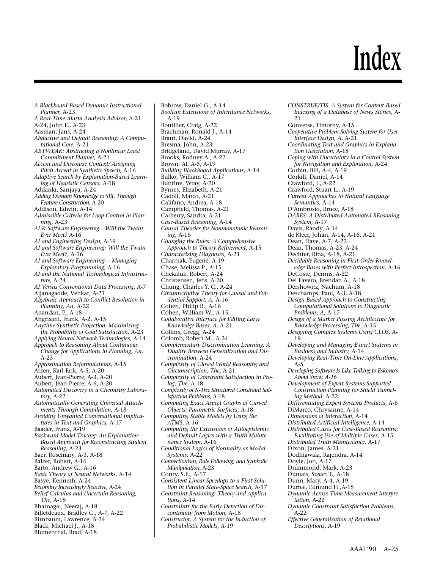# **Index**

*A Blackboard-Based Dynamic Instructional Planner,* A-23 *A Real-Time Alarm Analysis Advisor*, A-21 A-24, John E., A-23 Aasman, Jans, A-24 *Abductive and Default Reasoning: A Computational Core,* A-21 *ABTWEAK: Abstracting a Nonlinear Least Commitment Planner,* A-21 *Accent and Discourse Context: Assigning Pitch Accent in Synthetic Speech,* A-16 *Adaptive Search by Explanation-Based Learning of Heuristic Censors,* A-18 Addanki, Sanjaya, A-24 *Adding Domain Knowledge to SBL Through Feature Construction,* A-20 Addison, Edwin, A-14 *Admissible Criteria for Loop Control in Planning,* A-23 *AI & Software Engineering—Will the Twain Ever Meet?* A-16 *AI and Engineering Design,* A-19 *AI and Software Engineering: Will the Twain Ever Meet?,* A-16 *AI and Software Engineering— Managing Exploratory Programming,* A-16 *AI and the National Technological Infrastructure,* A-24 *AI Versus Conventional Data Processing,* A-7 Ajjanagadde, Venkat, A-21 *Algebraic Approach to Conflict Resolution in Planning, An,* A-22 Anandan, P., A-18 Angrisani, Frank, A-2, A-15 *Anytime Synthetic Projection: Maximizing the Probability of Goal Satisfaction,* A-23 *Applying Neural Network Technologies,* A-14 *Approach to Reasoning About Continuous Change for Applications in Planning, An,* A-23 *Approximation Reformulations,* A-15 Arzen, Karl-Erik, A-5, A-20 Aubert, Jean-Pierre, A-3, A-20 Aubert, Jean-Pierre, A-6, A-20 *Automated Discovery in a Chemistry Laboratory,* A-22 *Automatically Generating Universal Attachments Through Compilation,* A-18 *Avoiding Unwanted Conversational Implicatures in Text and Graphics,* A-17 Baader, Franz, A-19 *Backward Model Tracing: An Explanation-Based Approach for Reconstructing Student Reasoning,* A-23 Baer, Rosemary, A-3, A-18 Balzer, Robert, A-16 Barto, Andrew G., A-16 *Basic Theory of Neural Networks,* A-14 Basye, Kenneth, A-24 *Becoming Increasingly Reactive,* A-24 *Belief Calculus and Uncertain Reasoning, The,* A-18 Bhatnagar, Neeraj, A-18 Billetdeaux, Bradley C., A-7, A-22 Birnbaum, Lawrence, A-24 Black, Michael J., A-18 Blumenthal, Brad, A-18

Bobrow, Daniel G., A-14 *Boolean Extensions of Inheritance Networks,* A-19 Boutilier, Craig, A-22 Brachman, Ronald J., A-14 Brant, David, A-24 Bresina, John, A-23 Bridgeland, David Murray, A-17 Brooks, Rodney A., A-22 Brown, Al, A-5, A-19 *Building Blackboard Applications,* A-14 Bulko, William C., A-17 Buntine, Wray, A-20 Byrnes, Elizabeth, A-21 Cadoli, Marco, A-21 Califano, Andrea, A-18 Campfield, Thomas, A-21 Carberry, Sandra, A-21 *Case-Based Reasoning,* A-14 *Causal Theories for Nonmonotonic Reasoning,* A-16 *Changing the Rules: A Comprehensive Approach to Theory Refinement,* A-15 *Characterizing Diagnoses,* A-21 Charniak, Eugene, A-19 Chase, Melissa P., A-15 Chekaluk, Robert, A-24 Christensen, Jens, A-20 Chung, Charles Y. C., A-24 *Circumscriptive Theory for Causal and Evidential Support, A,* A-16 Cohen, Philip R., A-16 Cohen, William W., A-15 *Collaborative Interface for Editing Large Knowledge Bases, A,* A-21 Collins, Gregg, A-24 Colomb, Robert M., A-24 *Complementary Discrimination Learning: A Duality Between Generalization and Discrimination,* A-24 *Complexity of Closed World Reasoning and Circumscription, The,* A-21 *Complexity of Constraint Satisfaction in Prolog, The,* A-18 *Complexity of K-Tree Structured Constraint Satisfaction Problems,* A-18 *Computing Exact Aspect Graphs of Curved Objects: Parametric Surfaces,* A-18 *Computing Stable Models by Using the ATMS,* A-16 *Computing the Extensions of Autoepistemic and Default Logics with a Truth Maintenance System,* A-16 *Conditional Logics of Normality as Modal Systems,* A-22 *Connectionism, Rule Following, and Symbolic Manipulation,* A-23 Conry, S.E., A-17 *Consistent Linear Speedups to a First Solution in Parallel State-Space Search,* A-17 *Constraint Reasoning: Theory and Applications,* A-14 *Constraints for the Early Detection of Discontinuity from Motion,* A-18 *Constructor: A System for the Induction of Probabilistic Models,* A-19

*CONSTRUE/TIS: A System for Content-Based Indexing of a Database of News Stories*, A-21 Converse, Timothy, A-15 *Cooperative Problem Solving System for User Interface Design, A,* A-21 *Coordinating Text and Graphics in Explanation Generation,* A-18 *Coping with Uncertainty in a Control System for Navigation and Exploration,* A-24 Corbin, Bill, A-4, A-19 Corkill, Daniel, A-14 Crawford, J., A-22 Crawford, Stuart L., A-19 *Current Approaches to Natural Language Semantics,* A-14 D'Ambrosio, Bruce, A-18 *DARES: A Distributed Automated REasoning System,* A-17 Davis, Randy, A-14 de Kleer, Johan, A-14, A-16, A-21 Dean, Dave, A-7, A-22 Dean, Thomas, A-23, A-24 Dechter, Rina, A-18, A-21 *Decidable Reasoning in First-Order Knowledge Bases with Perfect Introspection,* A-16 DeCoste, Dennis, A-22 Del Favero, Brendan A., A-18 Dershowitz, Nachum, A-18 Deschamps, Paul, A-3, A-18 *Design Based Approach to Constructing Computational Solutions to Diagnostic Problems, A,* A-17 *Design of a Marker Passing Architecture for Knowledge Processing, The,* A-15 *Designing Complex Systems Using CLOS,* A-19 *Developing and Managing Expert Systems in Business and Industry,* A-14 *Developing Real-Time On-Line Applications,* A-5 *Developing Software Is Like Talking to Eskimo's About Snow, A-16 Development of Expert Systems Supported Construction Planning for Shield Tunneling Method*, A-22 *Differentiating Expert Systems Products,* A-6 DiMarco, Chrysanne, A-14 *Dimensions of Interaction,* A-14 *Distributed Artificial Intelligence,* A-14 *Distributed Cases for Case-Based Reasoning; Facilitating Use of Multiple Cases,* A-15 *Distributed Truth Maintenance,* A-17 Dixon, James, A-21 Dodhiawala, Rajendra, A-14 Doyle, Jon, A-17 Drummond, Mark, A-23 Dumais, Susan T., A-18 Dunn, Mary, A-4, A-19 Durfee, Edmund H.,A-15 *Dynamic Across-Time Measurement Interpretation,* A-22 *Dynamic Constraint Satisfaction Problems,* A-22 *Effective Generalization of Relational Descriptions,* A-19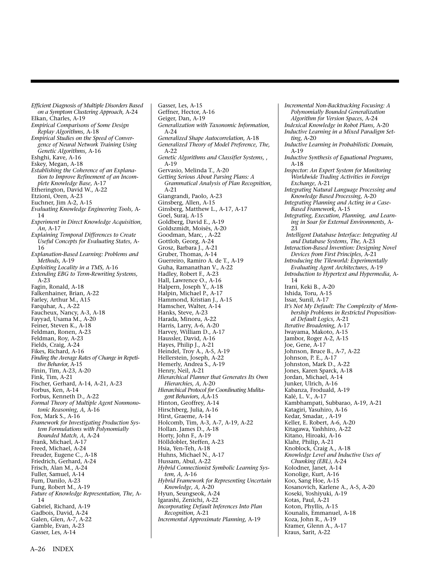*Efficient Diagnosis of Multiple Disorders Based on a Symptom Clustering Approach,* A-24 Elkan, Charles, A-19 *Empirical Comparisons of Some Design Replay Algorithms,* A-18 *Empirical Studies on the Speed of Convergence of Neural Network Training Using Genetic Algorithms,* A-16 Eshghi, Kave, A-16 Eskey, Megan, A-18 *Establishing the Coherence of an Explanation to Improve Refinement of an Incomplete Knowledge Base,* A-17 Etherington, David W., A-22 Etzioni, Oren, A-23 Euchner, Jim A-2, A-15 *Evaluating Knowledge Engineering Tools,* A-14 *Experiment in Direct Knowledge Acquisition, An,* A-17 *Explaining Temporal Differences to Create Useful Concepts for Evaluating States,* A-16 *Explanation-Based Learning: Problems and Methods,* A-19 *Exploiting Locality in a TMS,* A-16 *Extending EBG to Term-Rewriting Systems,* A-23 Fagin, Ronald, A-18 Falkenhainer, Brian, A-22 Farley, Arthur M., A15 Farquhar, A., A-22 Faucheux, Nancy, A-3, A-18 Fayyad, Usama M., A-20 Feiner, Steven K., A-18 Feldman, Ronen, A-23 Feldman, Roy, A-23 Fields, Craig, A-24 Fikes, Richard, A-16 *Finding the Average Rates of Change in Repetitive Behavior,* A-15 Finin, Tim, A-23, A-20 Fink, Tim, A-21 Fischer, Gerhard, A-14, A-21, A-23 Forbus, Ken, A-14 Forbus, Kenneth D., A-22 *Formal Theory of Multiple Agent Nonmonotonic Reasoning, A,* A-16 Fox, Mark S., A-16 *Framework for Investigating Production System Formulations with Polynomially Bounded Match, A,* A-24 Frank, Michael, A-17 Freed, Michael, A-24 Freuder, Eugene C., A-18 Friedrich, Gerhard, A-24 Frisch, Alan M., A-24 Fuller, Samuel, A-14 Fum, Danilo, A-23 Fung, Robert M., A-19 *Future of Knowledge Representation, The,* A-14 Gabriel, Richard, A-19 Gadbois, David, A-24 Galen, Glen, A-7, A-22 Gamble, Evan, A-23 Gasser, Les, A-14

Gasser, Les, A-15 Geffner, Hector, A-16 Geiger, Dan, A-19 *Generalization with Taxonomic Information,* A-24 *Generalized Shape Autocorrelation,* A-18 *Generalized Theory of Model Preference, The,* A-22 *Genetic Algorithms and Classifier Systems,* , A-19 Gervasio, Melinda T., A-20 *Getting Serious About Parsing Plans: A Grammatical Analysis of Plan Recognition,* A-21 Giangrandi, Paolo, A-23 Ginsberg, Allen, A-15 Ginsberg, Matthew L., A-17, A-17 Goel, Suraj, A-15 Goldberg, David E., A-19 Goldszmidt, Moisés, A-20 Goodman, Marc, , A-22 Gottlob, Georg, A-24 Grosz, Barbara J., A-21 Gruber, Thomas, A-14 Guerreiro, Ramiro A. de T., A-19 Guha, Ramanathan V., A-22 Hadley, Robert F., A-23 Hall, Lawrence O., A-16 Halpern, Joseph Y., A-18 Halpin, Michael P., A-17 Hammond, Kristian J., A-15 Hamscher, Walter, A-14 Hanks, Steve, A-23 Harada, Minoru, A-22 Harris, Larry, A-6, A-20 Harvey, William D., A-17 Haussler, David, A-16 Hayes, Philip J., A-21 Heindel, Troy A., A-5, A-19 Hellerstein, Joseph, A-22 Hemerly, Andrea S., A-19 Henry, Neil, A-21 *Hierarchical Planner that Generates Its Own Hierarchies, A,* A-20 *Hierarchical Protocol for Coordinating Mulitagent Behaviors, A,*A-15 Hinton, Geoffrey, A-14 Hirschberg, Julia, A-16 Hirst, Graeme, A-14 Holcomb, Tim, A-3, A-7, A-19, A-22 Hollan. James D., A-18 Horty, John F., A-19 Hölldobler, Steffen, A-23 Hsia, Yen-Teh, A-18 Huhns, Michael N., A-17 Hussam, Abul, A-22 *Hybrid Connectionist Symbolic Learning System, A,* A-16 *Hybrid Framework for Representing Uncertain Knowledge, A,* A-20 Hyun, Seungseok, A-24 Igarashi, Zenichi, A-22 *Incorporating Default Inferences Into Plan Recognition,* A-21 *Incremental Approximate Planning,* A-19

*Incremental Non-Backtracking Focusing: A Polynomially Bounded Generalization Algorithm for Version Spaces,* A-24 *Indexical Knowledge in Robot Plans,* A-20 *Inductive Learning in a Mixed Paradigm Setting,* A-20 *Inductive Learning in Probabilistic Domain,* A-19 *Inductive Synthesis of Equational Programs,* A-18 *Inspector: An Expert System for Monitoring Worldwide Trading Activities in Foreign Exchange*, A-21 *Integrating Natural Language Processing and Knowledge Based Processing,* A-20 *Integrating Planning and Acting in a Case-Based Framework,* A-15 *Integrating, Execution, Planning, and Learning in Soar for External Environments,* A- $23$ *Intelligent Database Interface: Integrating AI and Database Systems, The,* A-23 *Interaction-Based Invention: Designing Novel Devices from First Principles,* A-21 *Introducing the Tileworld: Experimentally Evaluating Agent Architectures,* A-19 *Introduction to Hypertext and Hypermedia,* A-14 Irani, Keki B., A-20 Ishida, Toru, A-15 Issar, Sunil, A-17 *It's Not My Default: The Complexity of Membership Problems in Restricted Propositional Default Logics,* A-21 *Iterative Broadening,* A-17 Iwayama, Makoto, A-15 Jambor, Roger A-2, A-15 Joe, Gene, A-17 Johnson, Bruce B., A-7, A-22 Johnson, P. E., A-17 Johnston, Mark D., A-22 Jones, Karen Sparck, A-18 Jordan, Michael, A-14 Junker, Ulrich, A-16 Kabanza, Froduald, A-19 Kalé, L. V., A-17 Kambhampati, Subbarao, A-19, A-21 Katagiri, Yasuhiro, A-16 Kedar, Smadar, , A-19 Keller, E. Robert, A-6, A-20 Kitagawa, Yashhiro, A-22 Kitano, Hiroaki, A-16 Klahr, Philip, A-21 Knoblock, Craig A., A-18 *Knowledge Level and Inductive Uses of Chunking (EBL),* A-24 Kolodner, Janet, A-14 Konolige, Kurt, A-16 Koo, Sang Hoe, A-15 Kosanovich, Karlene A., A-5, A-20 Koseki, Yoshiyuki, A-19 Kotas, Paul, A-21 Koton, Phyllis, A-15 Kounalis, Emmanuel, A-18 Koza, John R., A-19 Kramer, Glenn A., A-17 Kraus, Sarit, A-22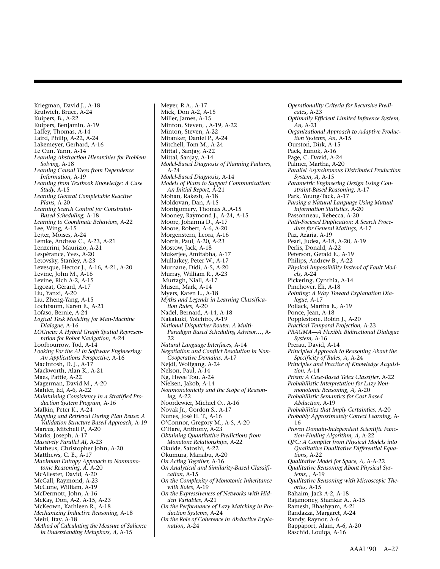Kriegman, David J., A-18 Krulwich, Bruce, A-24 Kuipers, B., A-22 Kuipers, Benjamin, A-19 Laffey, Thomas, A-14 Laird, Philip, A-22, A-24 Lakemeyer, Gerhard, A-16 Le Cun, Yann, A-14 *Learning Abstraction Hierarchies for Problem Solving,* A-18 *Learning Causal Trees from Dependence Information,* A-19 *Learning from Textbook Knowledge: A Case Study,* A-15 *Learning General Completable Reactive Plans,* A-20 *Learning Search Control for Constraint-Based Scheduling,* A-18 *Learning to Coordinate Behaviors,* A-22 Lee, Wing, A-15 Lejter, Moises, A-24 Lemke, Andreas C., A-23, A-21 Lenzerini, Maurizio, A-21 Lespérance, Yves, A-20 Letovsky, Stanley, A-23 Levesque, Hector J., A-16, A-21, A-20 Levine, John M., A-16 Levine, Rich A-2, A-15 Ligozat, Gérard, A-17 Liu, Yanxi, A-20 Liu, Zheng-Yang, A-15 Lochbaum, Karen E., A-21 Lofaso, Bernie, A-24 *Logical Task Modeling for Man-Machine Dialogue,* A-16 *LOGnets: A Hybrid Graph Spatial Representation for Robot Navigation,* A-24 Loofbourrow, Tod, A-14 *Looking For the AI in Software Engineering: An Applications Perspective,* A-16 MacIntosh, D. J., A-17 Mackworth, Alan K., A-21 Maes, Pattie, A-22 Magerman, David M., A-20 Mahler, Ed, A-6, A-22 *Maintaining Consistency in a Stratified Production System Program,* A-16 Malkin, Peter K., A-24 *Mapping and Retrieval During Plan Reuse: A Validation Structure Based Approach,* A-19 Marcus, Mitchell P., A-20 Marks, Joseph, A-17 *Massively Parallel AI,* A-23 Matheus, Christopher John, A-20 Matthews, C. E., A-17 *Maximum Entropy Approach to Nonmonotonic Reasoning, A,* A-20 McAllester, David, A-20 McCall, Raymond, A-23 McCune, William, A-19 McDermott, John, A-16 McKay, Don, A-2, A-15, A-23 McKeown, Kathleen R., A-18 *Mechanizing Inductive Reasoning,* A-18 Meiri, Itay, A-18 *Method of Calculating the Measure of Salience in Understanding Metaphors, A,* A-15

Meyer, R.A., A-17 Mick, Don A-2, A-15 Miller, James, A-15 Minton, Steven, , A-19, A-22 Minton, Steven, A-22 Miranker, Daniel P., A-24 Mitchell, Tom M., A-24 Mittal , Sanjay, A-22 Mittal, Sanjay, A-14 *Model-Based Diagnosis of Planning Failures,* A-24 *Model-Based Diagnosis,* A-14 *Models of Plans to Support Communication: An Initial Report,* A-21 Mohan, Rakesh, A-18 Moldovan, Dan, A-15 Montgomery, Thomas A.,A-15 Mooney, Raymond J., A-24, A-15 Moore, Johanna D., A-17 Moore, Robert, A-6, A-20 Morgenstern, Leora, A-16 Morris, Paul, A-20, A-23 Mostow, Jack, A-18 Mukerjee, Amitabha, A-17 Mullarkey, Peter W., A-17 Murnane, Didi, A-5, A-20 Murray, William R., A-23 Murtagh, Niall, A-17 Musen, Mark, A-14 Myers, Karen L., A-18 *Myths and Legends in Learning Classification Rules,* A-20 Nadel, Bernard, A-14, A-18 Nakakuki, Yoichiro, A-19 *National Dispatcher Router: A Multi-Paradigm Based Scheduling Advisor…*, A-22 *Natural Language Interfaces,* A-14 *Negotiation and Conflict Resolution in Non-Cooperative Domains,* A-17 Nejdl, Wolfgang, A-24 Nelson, Paul, A-14 Ng, Hwee Tou, A-24 Nielsen, Jakob, A-14 *Nonmonotonicity and the Scope of Reasoning,* A-22 Noordewier, Michiel O., A-16 Novak Jr., Gordon S., A-17 Nunes, José H. T., A-16 O'Connor, Gregory M., A-5, A-20 O'Hare, Anthony, A-23 *Obtaining Quantitative Predictions from Monotone Relationships,* A-22 Okuide, Satoshi, A-22 Okumura, Manabu, A-20 *On Acting Together,* A-16 *On Analytical and Similarity-Based Classification,* A-15 *On the Complexity of Monotonic Inheritance with Roles,* A-19 *On the Expressiveness of Networks with Hidden Variables,* A-21 *On the Performance of Lazy Matching in Production Systems,* A-24 *On the Role of Coherence in Abductive Explanation,* A-24

*Operationality Criteria for Recursive Predicates,* A-23 *Optimally Efficient Limited Inference System, An,* A-21 *Organizational Approach to Adaptive Production Systems, An,* A-15 Ourston, Dirk, A-15 Paek, Eunok, A-16 Page, C. David, A-24 Palmer, Martha, A-20 *Parallel Asynchronous Distributed Production System, A,* A-15 *Parametric Engineering Design Using Constraint-Based Reasoning,* A-17 Park, Young-Tack, A-17 *Parsing a Natural Language Using Mutual Information Statistics,* A-20 Passonneau, Rebecca, A-20 *Path-Focused Duplication: A Search Procedure for General Matings,* A-17 Paz, Azaria, A-19 Pearl, Judea, A-18, A-20, A-19 Perlis, Donald, A-22 Peterson, Gerald E., A-19 Philips, Andrew B., A-22 *Physical Impossibility Instead of Fault Models,* A-24 Pickering, Cynthia, A-14 Pinchover, Eli, A-18 *Pointing: A Way Toward Explanation Dialogue,* A-17 Pollack, Martha E., A-19 Ponce, Jean, A-18 Popplestone, Robin J., A-20 *Practical Temporal Projection,* A-23 *PRAGMA—A Flexible Bidirectional Dialogue System,* A-16 Prerau, David, A-14 *Principled Approach to Reasoning About the Specificity of Rules, A,* A-24 P*rinciples and Practice of Knowledge Acquisition,* A-14 *Prism: A Case-Based Telex Classifier*, A-22 *Probabilistic Interpretation for Lazy Nonmonotonic Reasoning, A,* A-20 *Probabilistic Semantics for Cost Based Abduction,* A-19 *Probabilities that Imply Certainties,* A-20 *Probably Approximately Correct Learning,* A-16 *Proven Domain-Independent Scientific Function-Finding Algorithm, A,* A-22 *QPC: A Compiler from Physical Models into Qualitative Dualitative Differential Equations,* A-22 *Qualitative Model for Space, A,* A-A-22 *Qualitative Reasoning About Physical Systems,* , A-19 *Qualitative Reasoning with Microscopic Theories,* A-15 Rahaim, Jack A-2, A-18 Rajamoney, Shankar A., A-15 Ramesh, Bhashyam, A-21 Randazza, Margaret, A-24 Randy, Raynor, A-6 Rappaport, Alain, A-6, A-20 Raschid, Louiqa, A-16